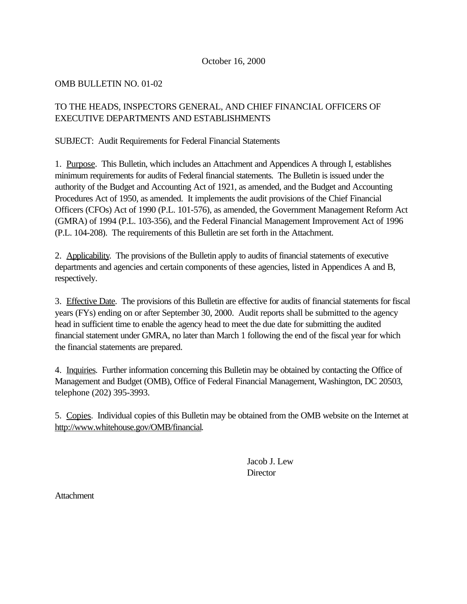## October 16, 2000

## OMB BULLETIN NO. 01-02

# TO THE HEADS, INSPECTORS GENERAL, AND CHIEF FINANCIAL OFFICERS OF EXECUTIVE DEPARTMENTS AND ESTABLISHMENTS

## SUBJECT: Audit Requirements for Federal Financial Statements

1. Purpose. This Bulletin, which includes an Attachment and Appendices A through I, establishes minimum requirements for audits of Federal financial statements. The Bulletin is issued under the authority of the Budget and Accounting Act of 1921, as amended, and the Budget and Accounting Procedures Act of 1950, as amended. It implements the audit provisions of the Chief Financial Officers (CFOs) Act of 1990 (P.L. 101-576), as amended, the Government Management Reform Act (GMRA) of 1994 (P.L. 103-356), and the Federal Financial Management Improvement Act of 1996 (P.L. 104-208). The requirements of this Bulletin are set forth in the Attachment.

2. Applicability. The provisions of the Bulletin apply to audits of financial statements of executive departments and agencies and certain components of these agencies, listed in Appendices A and B, respectively.

3. Effective Date. The provisions of this Bulletin are effective for audits of financial statements for fiscal years (FYs) ending on or after September 30, 2000. Audit reports shall be submitted to the agency head in sufficient time to enable the agency head to meet the due date for submitting the audited financial statement under GMRA, no later than March 1 following the end of the fiscal year for which the financial statements are prepared.

4. Inquiries. Further information concerning this Bulletin may be obtained by contacting the Office of Management and Budget (OMB), Office of Federal Financial Management, Washington, DC 20503, telephone (202) 395-3993.

5. Copies. Individual copies of this Bulletin may be obtained from the OMB website on the Internet at http://www.whitehouse.gov/OMB/financial.

> Jacob J. Lew **Director**

Attachment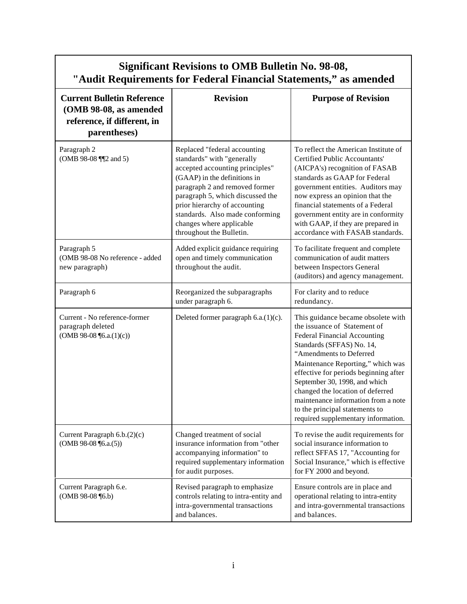| <b>Significant Revisions to OMB Bulletin No. 98-08,</b><br>"Audit Requirements for Federal Financial Statements," as amended |                                                                                                                                                                                                                                                                                                                                 |                                                                                                                                                                                                                                                                                                                                                                                                                               |  |  |  |  |
|------------------------------------------------------------------------------------------------------------------------------|---------------------------------------------------------------------------------------------------------------------------------------------------------------------------------------------------------------------------------------------------------------------------------------------------------------------------------|-------------------------------------------------------------------------------------------------------------------------------------------------------------------------------------------------------------------------------------------------------------------------------------------------------------------------------------------------------------------------------------------------------------------------------|--|--|--|--|
| <b>Current Bulletin Reference</b><br>(OMB 98-08, as amended<br>reference, if different, in<br>parentheses)                   | <b>Revision</b>                                                                                                                                                                                                                                                                                                                 | <b>Purpose of Revision</b>                                                                                                                                                                                                                                                                                                                                                                                                    |  |  |  |  |
| Paragraph 2<br>(OMB 98-08 ¶ 2 and 5)                                                                                         | Replaced "federal accounting<br>standards" with "generally<br>accepted accounting principles"<br>(GAAP) in the definitions in<br>paragraph 2 and removed former<br>paragraph 5, which discussed the<br>prior hierarchy of accounting<br>standards. Also made conforming<br>changes where applicable<br>throughout the Bulletin. | To reflect the American Institute of<br><b>Certified Public Accountants'</b><br>(AICPA's) recognition of FASAB<br>standards as GAAP for Federal<br>government entities. Auditors may<br>now express an opinion that the<br>financial statements of a Federal<br>government entity are in conformity<br>with GAAP, if they are prepared in<br>accordance with FASAB standards.                                                 |  |  |  |  |
| Paragraph 5<br>(OMB 98-08 No reference - added<br>new paragraph)                                                             | Added explicit guidance requiring<br>open and timely communication<br>throughout the audit.                                                                                                                                                                                                                                     | To facilitate frequent and complete<br>communication of audit matters<br>between Inspectors General<br>(auditors) and agency management.                                                                                                                                                                                                                                                                                      |  |  |  |  |
| Paragraph 6                                                                                                                  | Reorganized the subparagraphs<br>under paragraph 6.                                                                                                                                                                                                                                                                             | For clarity and to reduce<br>redundancy.                                                                                                                                                                                                                                                                                                                                                                                      |  |  |  |  |
| Current - No reference-former<br>paragraph deleted<br>(OMB 98-08 $\P$ 6.a. $(1)(c)$ )                                        | Deleted former paragraph 6.a.(1)(c).                                                                                                                                                                                                                                                                                            | This guidance became obsolete with<br>the issuance of Statement of<br>Federal Financial Accounting<br>Standards (SFFAS) No. 14,<br>"Amendments to Deferred<br>Maintenance Reporting," which was<br>effective for periods beginning after<br>September 30, 1998, and which<br>changed the location of deferred<br>maintenance information from a note<br>to the principal statements to<br>required supplementary information. |  |  |  |  |
| Current Paragraph 6.b.(2)(c)<br>(OMB 98-08 $\P$ 6.a.(5))                                                                     | Changed treatment of social<br>insurance information from "other<br>accompanying information" to<br>required supplementary information<br>for audit purposes.                                                                                                                                                                   | To revise the audit requirements for<br>social insurance information to<br>reflect SFFAS 17, "Accounting for<br>Social Insurance," which is effective<br>for FY 2000 and beyond.                                                                                                                                                                                                                                              |  |  |  |  |
| Current Paragraph 6.e.<br>$(OMB 98-08 \text{ } (6.b))$                                                                       | Revised paragraph to emphasize<br>controls relating to intra-entity and<br>intra-governmental transactions<br>and balances.                                                                                                                                                                                                     | Ensure controls are in place and<br>operational relating to intra-entity<br>and intra-governmental transactions<br>and balances.                                                                                                                                                                                                                                                                                              |  |  |  |  |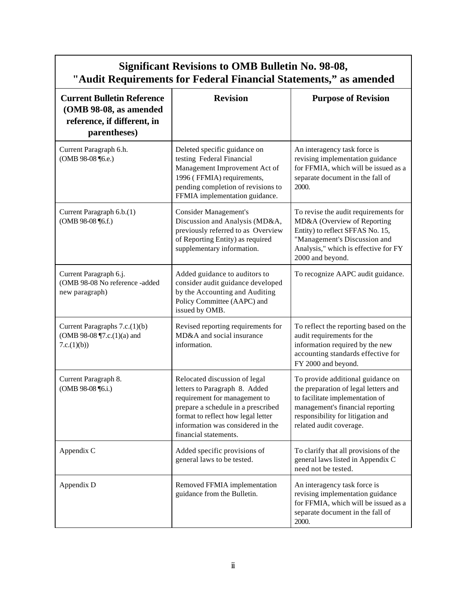| <b>Significant Revisions to OMB Bulletin No. 98-08,</b><br>"Audit Requirements for Federal Financial Statements," as amended |                                                                                                                                                                                                                                           |                                                                                                                                                                                                                  |  |  |  |  |
|------------------------------------------------------------------------------------------------------------------------------|-------------------------------------------------------------------------------------------------------------------------------------------------------------------------------------------------------------------------------------------|------------------------------------------------------------------------------------------------------------------------------------------------------------------------------------------------------------------|--|--|--|--|
| <b>Current Bulletin Reference</b><br>(OMB 98-08, as amended<br>reference, if different, in<br>parentheses)                   | <b>Revision</b>                                                                                                                                                                                                                           | <b>Purpose of Revision</b>                                                                                                                                                                                       |  |  |  |  |
| Current Paragraph 6.h.<br>(OMB 98-08 ¶6.e.)                                                                                  | Deleted specific guidance on<br>testing Federal Financial<br>Management Improvement Act of<br>1996 (FFMIA) requirements,<br>pending completion of revisions to<br>FFMIA implementation guidance.                                          | An interagency task force is<br>revising implementation guidance<br>for FFMIA, which will be issued as a<br>separate document in the fall of<br>2000.                                                            |  |  |  |  |
| Current Paragraph 6.b.(1)<br>(OMB 98-08 ¶6.f.)                                                                               | <b>Consider Management's</b><br>Discussion and Analysis (MD&A,<br>previously referred to as Overview<br>of Reporting Entity) as required<br>supplementary information.                                                                    | To revise the audit requirements for<br>MD&A (Overview of Reporting<br>Entity) to reflect SFFAS No. 15,<br>"Management's Discussion and<br>Analysis," which is effective for FY<br>2000 and beyond.              |  |  |  |  |
| Current Paragraph 6.j.<br>(OMB 98-08 No reference -added<br>new paragraph)                                                   | Added guidance to auditors to<br>consider audit guidance developed<br>by the Accounting and Auditing<br>Policy Committee (AAPC) and<br>issued by OMB.                                                                                     | To recognize AAPC audit guidance.                                                                                                                                                                                |  |  |  |  |
| Current Paragraphs 7.c.(1)(b)<br>(OMB 98-08 ¶7.c.(1)(a) and<br>7.c.(1)(b))                                                   | Revised reporting requirements for<br>MD&A and social insurance<br>information.                                                                                                                                                           | To reflect the reporting based on the<br>audit requirements for the<br>information required by the new<br>accounting standards effective for<br>FY 2000 and beyond.                                              |  |  |  |  |
| Current Paragraph 8.<br>(OMB 98-08 ¶6.i.)                                                                                    | Relocated discussion of legal<br>letters to Paragraph 8. Added<br>requirement for management to<br>prepare a schedule in a prescribed<br>format to reflect how legal letter<br>information was considered in the<br>financial statements. | To provide additional guidance on<br>the preparation of legal letters and<br>to facilitate implementation of<br>management's financial reporting<br>responsibility for litigation and<br>related audit coverage. |  |  |  |  |
| Appendix C                                                                                                                   | Added specific provisions of<br>general laws to be tested.                                                                                                                                                                                | To clarify that all provisions of the<br>general laws listed in Appendix C<br>need not be tested.                                                                                                                |  |  |  |  |
| Appendix D                                                                                                                   | Removed FFMIA implementation<br>guidance from the Bulletin.                                                                                                                                                                               | An interagency task force is<br>revising implementation guidance<br>for FFMIA, which will be issued as a<br>separate document in the fall of<br>2000.                                                            |  |  |  |  |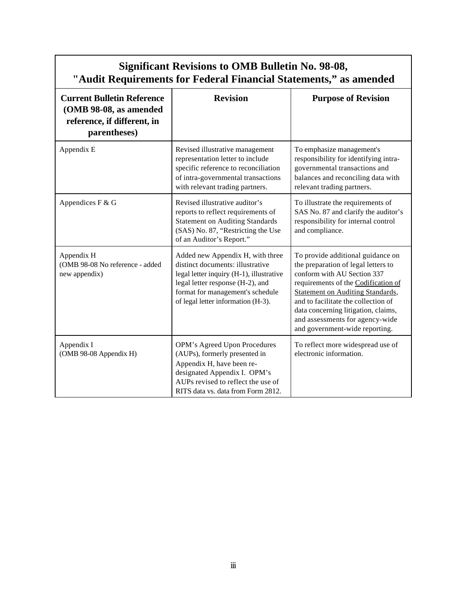| <b>Significant Revisions to OMB Bulletin No. 98-08,</b><br>"Audit Requirements for Federal Financial Statements," as amended |                                                                                                                                                                                                                                |                                                                                                                                                                                                                                                                                                                                              |  |  |  |
|------------------------------------------------------------------------------------------------------------------------------|--------------------------------------------------------------------------------------------------------------------------------------------------------------------------------------------------------------------------------|----------------------------------------------------------------------------------------------------------------------------------------------------------------------------------------------------------------------------------------------------------------------------------------------------------------------------------------------|--|--|--|
| <b>Current Bulletin Reference</b><br>(OMB 98-08, as amended<br>reference, if different, in<br>parentheses)                   | <b>Revision</b>                                                                                                                                                                                                                | <b>Purpose of Revision</b>                                                                                                                                                                                                                                                                                                                   |  |  |  |
| Appendix E                                                                                                                   | Revised illustrative management<br>representation letter to include<br>specific reference to reconciliation<br>of intra-governmental transactions<br>with relevant trading partners.                                           | To emphasize management's<br>responsibility for identifying intra-<br>governmental transactions and<br>balances and reconciling data with<br>relevant trading partners.                                                                                                                                                                      |  |  |  |
| Appendices F & G                                                                                                             | Revised illustrative auditor's<br>reports to reflect requirements of<br><b>Statement on Auditing Standards</b><br>(SAS) No. 87, "Restricting the Use<br>of an Auditor's Report."                                               | To illustrate the requirements of<br>SAS No. 87 and clarify the auditor's<br>responsibility for internal control<br>and compliance.                                                                                                                                                                                                          |  |  |  |
| Appendix H<br>(OMB 98-08 No reference - added<br>new appendix)                                                               | Added new Appendix H, with three<br>distinct documents: illustrative<br>legal letter inquiry (H-1), illustrative<br>legal letter response (H-2), and<br>format for management's schedule<br>of legal letter information (H-3). | To provide additional guidance on<br>the preparation of legal letters to<br>conform with AU Section 337<br>requirements of the Codification of<br><b>Statement on Auditing Standards,</b><br>and to facilitate the collection of<br>data concerning litigation, claims,<br>and assessments for agency-wide<br>and government-wide reporting. |  |  |  |
| Appendix I<br>(OMB 98-08 Appendix H)                                                                                         | OPM's Agreed Upon Procedures<br>(AUPs), formerly presented in<br>Appendix H, have been re-<br>designated Appendix I. OPM's<br>AUPs revised to reflect the use of<br>RITS data vs. data from Form 2812.                         | To reflect more widespread use of<br>electronic information.                                                                                                                                                                                                                                                                                 |  |  |  |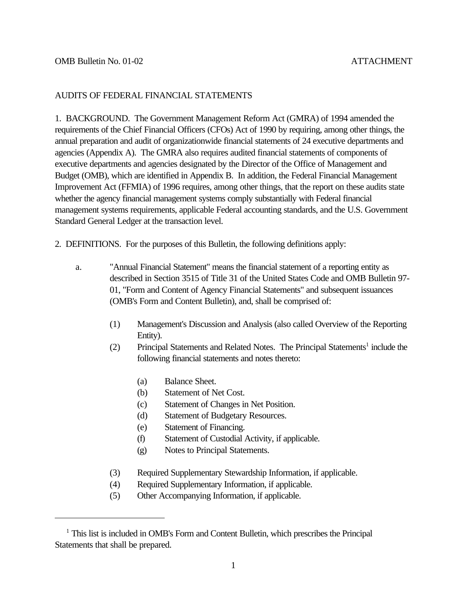### AUDITS OF FEDERAL FINANCIAL STATEMENTS

1. BACKGROUND. The Government Management Reform Act (GMRA) of 1994 amended the requirements of the Chief Financial Officers (CFOs) Act of 1990 by requiring, among other things, the annual preparation and audit of organizationwide financial statements of 24 executive departments and agencies (Appendix A). The GMRA also requires audited financial statements of components of executive departments and agencies designated by the Director of the Office of Management and Budget (OMB), which are identified in Appendix B. In addition, the Federal Financial Management Improvement Act (FFMIA) of 1996 requires, among other things, that the report on these audits state whether the agency financial management systems comply substantially with Federal financial management systems requirements, applicable Federal accounting standards, and the U.S. Government Standard General Ledger at the transaction level.

2. DEFINITIONS. For the purposes of this Bulletin, the following definitions apply:

- a. "Annual Financial Statement" means the financial statement of a reporting entity as described in Section 3515 of Title 31 of the United States Code and OMB Bulletin 97- 01, "Form and Content of Agency Financial Statements" and subsequent issuances (OMB's Form and Content Bulletin), and, shall be comprised of:
	- (1) Management's Discussion and Analysis (also called Overview of the Reporting Entity).
	- (2) Principal Statements and Related Notes. The Principal Statements<sup>1</sup> include the following financial statements and notes thereto:
		- (a) Balance Sheet.
		- (b) Statement of Net Cost.
		- (c) Statement of Changes in Net Position.
		- (d) Statement of Budgetary Resources.
		- (e) Statement of Financing.
		- (f) Statement of Custodial Activity, if applicable.
		- (g) Notes to Principal Statements.
	- (3) Required Supplementary Stewardship Information, if applicable.
	- (4) Required Supplementary Information, if applicable.
	- (5) Other Accompanying Information, if applicable.

<sup>&</sup>lt;sup>1</sup> This list is included in OMB's Form and Content Bulletin, which prescribes the Principal Statements that shall be prepared.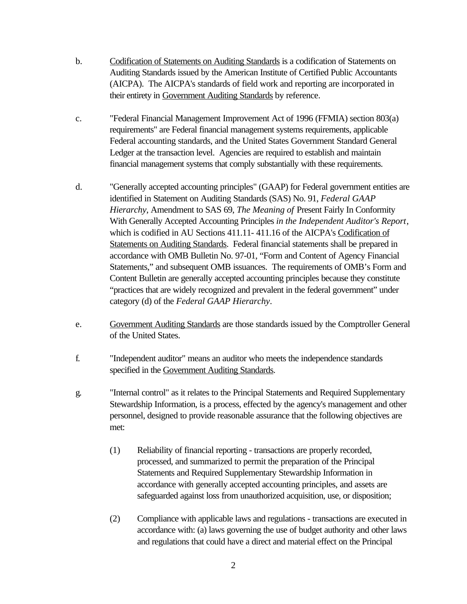- b. Codification of Statements on Auditing Standards is a codification of Statements on Auditing Standards issued by the American Institute of Certified Public Accountants (AICPA). The AICPA's standards of field work and reporting are incorporated in their entirety in Government Auditing Standards by reference.
- c. "Federal Financial Management Improvement Act of 1996 (FFMIA) section 803(a) requirements" are Federal financial management systems requirements, applicable Federal accounting standards, and the United States Government Standard General Ledger at the transaction level. Agencies are required to establish and maintain financial management systems that comply substantially with these requirements.
- d. "Generally accepted accounting principles" (GAAP) for Federal government entities are identified in Statement on Auditing Standards (SAS) No. 91, *Federal GAAP Hierarchy*, Amendment to SAS 69, *The Meaning of* Present Fairly In Conformity With Generally Accepted Accounting Principles *in the Independent Auditor's Report*, which is codified in AU Sections 411.11- 411.16 of the AICPA's Codification of Statements on Auditing Standards. Federal financial statements shall be prepared in accordance with OMB Bulletin No. 97-01, "Form and Content of Agency Financial Statements," and subsequent OMB issuances. The requirements of OMB's Form and Content Bulletin are generally accepted accounting principles because they constitute "practices that are widely recognized and prevalent in the federal government" under category (d) of the *Federal GAAP Hierarchy*.
- e. Government Auditing Standards are those standards issued by the Comptroller General of the United States.
- f. "Independent auditor" means an auditor who meets the independence standards specified in the Government Auditing Standards.
- g. "Internal control" as it relates to the Principal Statements and Required Supplementary Stewardship Information, is a process, effected by the agency's management and other personnel, designed to provide reasonable assurance that the following objectives are met:
	- (1) Reliability of financial reporting transactions are properly recorded, processed, and summarized to permit the preparation of the Principal Statements and Required Supplementary Stewardship Information in accordance with generally accepted accounting principles, and assets are safeguarded against loss from unauthorized acquisition, use, or disposition;
	- (2) Compliance with applicable laws and regulations transactions are executed in accordance with: (a) laws governing the use of budget authority and other laws and regulations that could have a direct and material effect on the Principal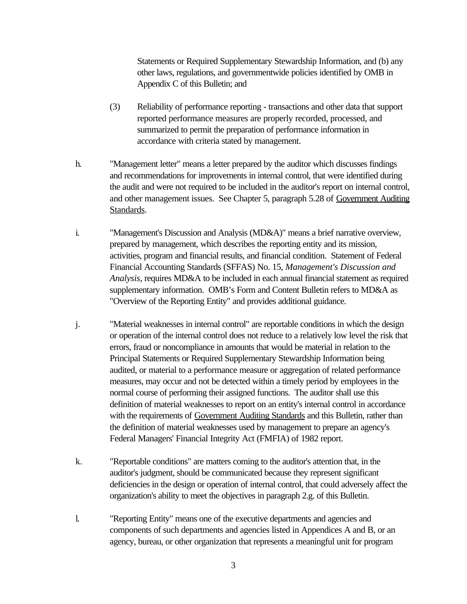Statements or Required Supplementary Stewardship Information, and (b) any other laws, regulations, and governmentwide policies identified by OMB in Appendix C of this Bulletin; and

- (3) Reliability of performance reporting transactions and other data that support reported performance measures are properly recorded, processed, and summarized to permit the preparation of performance information in accordance with criteria stated by management.
- h. "Management letter" means a letter prepared by the auditor which discusses findings and recommendations for improvements in internal control, that were identified during the audit and were not required to be included in the auditor's report on internal control, and other management issues. See Chapter 5, paragraph 5.28 of Government Auditing Standards.
- i. "Management's Discussion and Analysis (MD&A)" means a brief narrative overview, prepared by management, which describes the reporting entity and its mission, activities, program and financial results, and financial condition. Statement of Federal Financial Accounting Standards (SFFAS) No. 15, *Management's Discussion and Analysis*, requires MD&A to be included in each annual financial statement as required supplementary information. OMB's Form and Content Bulletin refers to MD&A as "Overview of the Reporting Entity" and provides additional guidance.
- j. "Material weaknesses in internal control" are reportable conditions in which the design or operation of the internal control does not reduce to a relatively low level the risk that errors, fraud or noncompliance in amounts that would be material in relation to the Principal Statements or Required Supplementary Stewardship Information being audited, or material to a performance measure or aggregation of related performance measures, may occur and not be detected within a timely period by employees in the normal course of performing their assigned functions. The auditor shall use this definition of material weaknesses to report on an entity's internal control in accordance with the requirements of Government Auditing Standards and this Bulletin, rather than the definition of material weaknesses used by management to prepare an agency's Federal Managers' Financial Integrity Act (FMFIA) of 1982 report.
- k. "Reportable conditions" are matters coming to the auditor's attention that, in the auditor's judgment, should be communicated because they represent significant deficiencies in the design or operation of internal control, that could adversely affect the organization's ability to meet the objectives in paragraph 2.g. of this Bulletin.
- l. "Reporting Entity" means one of the executive departments and agencies and components of such departments and agencies listed in Appendices A and B, or an agency, bureau, or other organization that represents a meaningful unit for program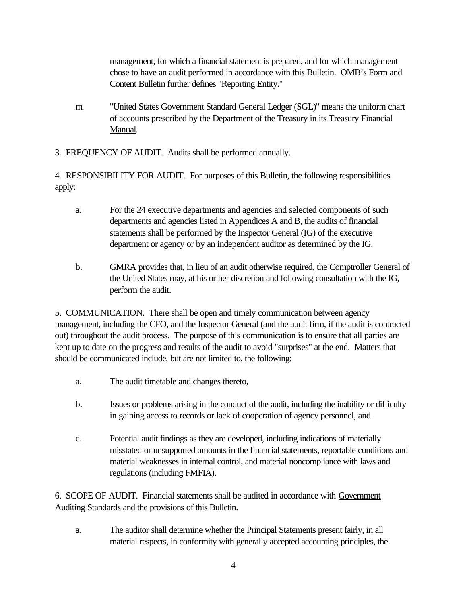management, for which a financial statement is prepared, and for which management chose to have an audit performed in accordance with this Bulletin. OMB's Form and Content Bulletin further defines "Reporting Entity."

- m. "United States Government Standard General Ledger (SGL)" means the uniform chart of accounts prescribed by the Department of the Treasury in its Treasury Financial Manual.
- 3. FREQUENCY OF AUDIT. Audits shall be performed annually.

4. RESPONSIBILITY FOR AUDIT. For purposes of this Bulletin, the following responsibilities apply:

- a. For the 24 executive departments and agencies and selected components of such departments and agencies listed in Appendices A and B, the audits of financial statements shall be performed by the Inspector General (IG) of the executive department or agency or by an independent auditor as determined by the IG.
- b. GMRA provides that, in lieu of an audit otherwise required, the Comptroller General of the United States may, at his or her discretion and following consultation with the IG, perform the audit.

5. COMMUNICATION. There shall be open and timely communication between agency management, including the CFO, and the Inspector General (and the audit firm, if the audit is contracted out) throughout the audit process. The purpose of this communication is to ensure that all parties are kept up to date on the progress and results of the audit to avoid "surprises" at the end. Matters that should be communicated include, but are not limited to, the following:

- a. The audit timetable and changes thereto,
- b. Issues or problems arising in the conduct of the audit, including the inability or difficulty in gaining access to records or lack of cooperation of agency personnel, and
- c. Potential audit findings as they are developed, including indications of materially misstated or unsupported amounts in the financial statements, reportable conditions and material weaknesses in internal control, and material noncompliance with laws and regulations (including FMFIA).

6. SCOPE OF AUDIT. Financial statements shall be audited in accordance with Government Auditing Standards and the provisions of this Bulletin.

a. The auditor shall determine whether the Principal Statements present fairly, in all material respects, in conformity with generally accepted accounting principles, the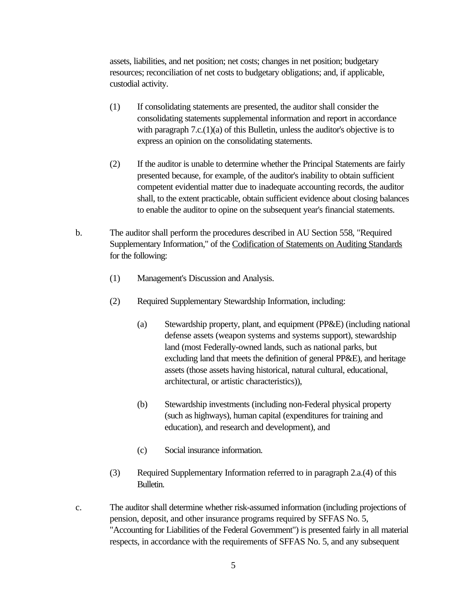assets, liabilities, and net position; net costs; changes in net position; budgetary resources; reconciliation of net costs to budgetary obligations; and, if applicable, custodial activity.

- (1) If consolidating statements are presented, the auditor shall consider the consolidating statements supplemental information and report in accordance with paragraph 7.c.(1)(a) of this Bulletin, unless the auditor's objective is to express an opinion on the consolidating statements.
- (2) If the auditor is unable to determine whether the Principal Statements are fairly presented because, for example, of the auditor's inability to obtain sufficient competent evidential matter due to inadequate accounting records, the auditor shall, to the extent practicable, obtain sufficient evidence about closing balances to enable the auditor to opine on the subsequent year's financial statements.
- b. The auditor shall perform the procedures described in AU Section 558, "Required Supplementary Information," of the Codification of Statements on Auditing Standards for the following:
	- (1) Management's Discussion and Analysis.
	- (2) Required Supplementary Stewardship Information, including:
		- (a) Stewardship property, plant, and equipment (PP&E) (including national defense assets (weapon systems and systems support), stewardship land (most Federally-owned lands, such as national parks, but excluding land that meets the definition of general PP&E), and heritage assets (those assets having historical, natural cultural, educational, architectural, or artistic characteristics)),
		- (b) Stewardship investments (including non-Federal physical property (such as highways), human capital (expenditures for training and education), and research and development), and
		- (c) Social insurance information.
	- (3) Required Supplementary Information referred to in paragraph 2.a.(4) of this Bulletin.
- c. The auditor shall determine whether risk-assumed information (including projections of pension, deposit, and other insurance programs required by SFFAS No. 5, "Accounting for Liabilities of the Federal Government") is presented fairly in all material respects, in accordance with the requirements of SFFAS No. 5, and any subsequent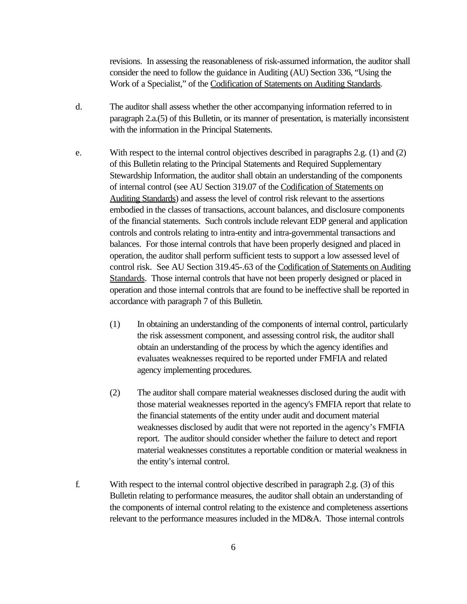revisions. In assessing the reasonableness of risk-assumed information, the auditor shall consider the need to follow the guidance in Auditing (AU) Section 336, "Using the Work of a Specialist," of the Codification of Statements on Auditing Standards.

- d. The auditor shall assess whether the other accompanying information referred to in paragraph 2.a.(5) of this Bulletin, or its manner of presentation, is materially inconsistent with the information in the Principal Statements.
- e. With respect to the internal control objectives described in paragraphs 2.g. (1) and (2) of this Bulletin relating to the Principal Statements and Required Supplementary Stewardship Information, the auditor shall obtain an understanding of the components of internal control (see AU Section 319.07 of the Codification of Statements on Auditing Standards) and assess the level of control risk relevant to the assertions embodied in the classes of transactions, account balances, and disclosure components of the financial statements. Such controls include relevant EDP general and application controls and controls relating to intra-entity and intra-governmental transactions and balances. For those internal controls that have been properly designed and placed in operation, the auditor shall perform sufficient tests to support a low assessed level of control risk. See AU Section 319.45-.63 of the Codification of Statements on Auditing Standards. Those internal controls that have not been properly designed or placed in operation and those internal controls that are found to be ineffective shall be reported in accordance with paragraph 7 of this Bulletin.
	- (1) In obtaining an understanding of the components of internal control, particularly the risk assessment component, and assessing control risk, the auditor shall obtain an understanding of the process by which the agency identifies and evaluates weaknesses required to be reported under FMFIA and related agency implementing procedures.
	- (2) The auditor shall compare material weaknesses disclosed during the audit with those material weaknesses reported in the agency's FMFIA report that relate to the financial statements of the entity under audit and document material weaknesses disclosed by audit that were not reported in the agency's FMFIA report. The auditor should consider whether the failure to detect and report material weaknesses constitutes a reportable condition or material weakness in the entity's internal control.
- f. With respect to the internal control objective described in paragraph 2.g. (3) of this Bulletin relating to performance measures, the auditor shall obtain an understanding of the components of internal control relating to the existence and completeness assertions relevant to the performance measures included in the MD&A. Those internal controls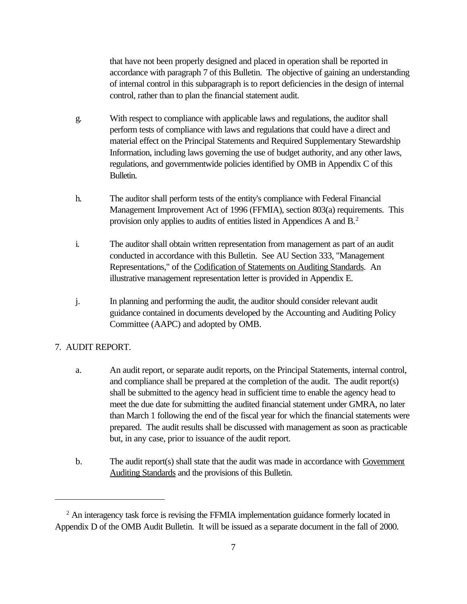that have not been properly designed and placed in operation shall be reported in accordance with paragraph 7 of this Bulletin. The objective of gaining an understanding of internal control in this subparagraph is to report deficiencies in the design of internal control, rather than to plan the financial statement audit.

- g. With respect to compliance with applicable laws and regulations, the auditor shall perform tests of compliance with laws and regulations that could have a direct and material effect on the Principal Statements and Required Supplementary Stewardship Information, including laws governing the use of budget authority, and any other laws, regulations, and governmentwide policies identified by OMB in Appendix C of this Bulletin.
- h. The auditor shall perform tests of the entity's compliance with Federal Financial Management Improvement Act of 1996 (FFMIA), section 803(a) requirements. This provision only applies to audits of entities listed in Appendices A and B.<sup>2</sup>
- i. The auditor shall obtain written representation from management as part of an audit conducted in accordance with this Bulletin. See AU Section 333, "Management Representations," of the Codification of Statements on Auditing Standards. An illustrative management representation letter is provided in Appendix E.
- j. In planning and performing the audit, the auditor should consider relevant audit guidance contained in documents developed by the Accounting and Auditing Policy Committee (AAPC) and adopted by OMB.

## 7. AUDIT REPORT.

- a. An audit report, or separate audit reports, on the Principal Statements, internal control, and compliance shall be prepared at the completion of the audit. The audit report(s) shall be submitted to the agency head in sufficient time to enable the agency head to meet the due date for submitting the audited financial statement under GMRA, no later than March 1 following the end of the fiscal year for which the financial statements were prepared. The audit results shall be discussed with management as soon as practicable but, in any case, prior to issuance of the audit report.
- b. The audit report(s) shall state that the audit was made in accordance with Government Auditing Standards and the provisions of this Bulletin.

 $2$  An interagency task force is revising the FFMIA implementation guidance formerly located in Appendix D of the OMB Audit Bulletin. It will be issued as a separate document in the fall of 2000.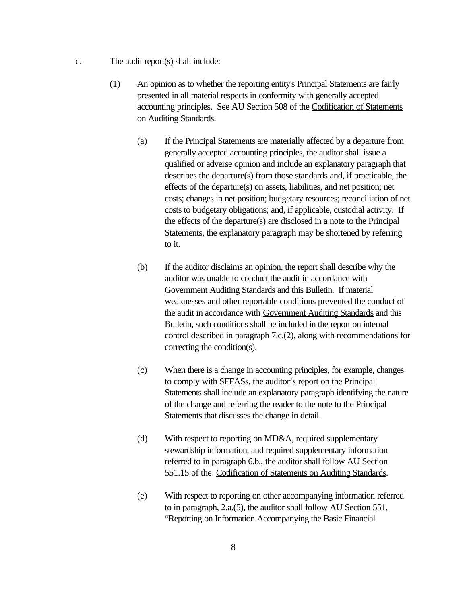- c. The audit report(s) shall include:
	- (1) An opinion as to whether the reporting entity's Principal Statements are fairly presented in all material respects in conformity with generally accepted accounting principles. See AU Section 508 of the Codification of Statements on Auditing Standards.
		- (a) If the Principal Statements are materially affected by a departure from generally accepted accounting principles, the auditor shall issue a qualified or adverse opinion and include an explanatory paragraph that describes the departure(s) from those standards and, if practicable, the effects of the departure(s) on assets, liabilities, and net position; net costs; changes in net position; budgetary resources; reconciliation of net costs to budgetary obligations; and, if applicable, custodial activity. If the effects of the departure(s) are disclosed in a note to the Principal Statements, the explanatory paragraph may be shortened by referring to it.
		- (b) If the auditor disclaims an opinion, the report shall describe why the auditor was unable to conduct the audit in accordance with Government Auditing Standards and this Bulletin. If material weaknesses and other reportable conditions prevented the conduct of the audit in accordance with Government Auditing Standards and this Bulletin, such conditions shall be included in the report on internal control described in paragraph 7.c.(2), along with recommendations for correcting the condition(s).
		- (c) When there is a change in accounting principles, for example, changes to comply with SFFASs, the auditor's report on the Principal Statements shall include an explanatory paragraph identifying the nature of the change and referring the reader to the note to the Principal Statements that discusses the change in detail.
		- (d) With respect to reporting on MD&A, required supplementary stewardship information, and required supplementary information referred to in paragraph 6.b., the auditor shall follow AU Section 551.15 of the Codification of Statements on Auditing Standards.
		- (e) With respect to reporting on other accompanying information referred to in paragraph, 2.a.(5), the auditor shall follow AU Section 551, "Reporting on Information Accompanying the Basic Financial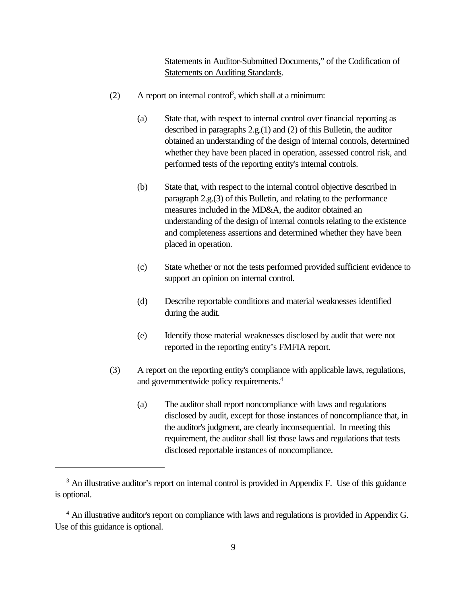Statements in Auditor-Submitted Documents," of the Codification of **Statements on Auditing Standards.** 

- $(2)$  A report on internal control<sup>3</sup>, which shall at a minimum:
	- (a) State that, with respect to internal control over financial reporting as described in paragraphs 2.g.(1) and (2) of this Bulletin, the auditor obtained an understanding of the design of internal controls, determined whether they have been placed in operation, assessed control risk, and performed tests of the reporting entity's internal controls.
	- (b) State that, with respect to the internal control objective described in paragraph 2.g.(3) of this Bulletin, and relating to the performance measures included in the MD&A, the auditor obtained an understanding of the design of internal controls relating to the existence and completeness assertions and determined whether they have been placed in operation.
	- (c) State whether or not the tests performed provided sufficient evidence to support an opinion on internal control.
	- (d) Describe reportable conditions and material weaknesses identified during the audit.
	- (e) Identify those material weaknesses disclosed by audit that were not reported in the reporting entity's FMFIA report.
- (3) A report on the reporting entity's compliance with applicable laws, regulations, and governmentwide policy requirements.<sup>4</sup>
	- (a) The auditor shall report noncompliance with laws and regulations disclosed by audit, except for those instances of noncompliance that, in the auditor's judgment, are clearly inconsequential. In meeting this requirement, the auditor shall list those laws and regulations that tests disclosed reportable instances of noncompliance.

<sup>&</sup>lt;sup>3</sup> An illustrative auditor's report on internal control is provided in Appendix F. Use of this guidance is optional.

<sup>&</sup>lt;sup>4</sup> An illustrative auditor's report on compliance with laws and regulations is provided in Appendix G. Use of this guidance is optional.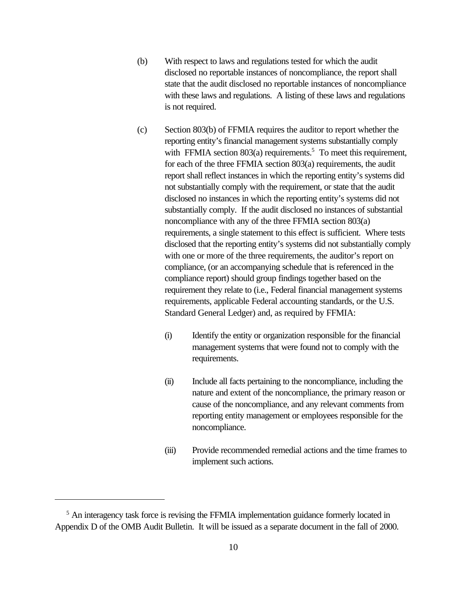- (b) With respect to laws and regulations tested for which the audit disclosed no reportable instances of noncompliance, the report shall state that the audit disclosed no reportable instances of noncompliance with these laws and regulations. A listing of these laws and regulations is not required.
- (c) Section 803(b) of FFMIA requires the auditor to report whether the reporting entity's financial management systems substantially comply with FFMIA section  $803(a)$  requirements.<sup>5</sup> To meet this requirement, for each of the three FFMIA section 803(a) requirements, the audit report shall reflect instances in which the reporting entity's systems did not substantially comply with the requirement, or state that the audit disclosed no instances in which the reporting entity's systems did not substantially comply. If the audit disclosed no instances of substantial noncompliance with any of the three FFMIA section 803(a) requirements, a single statement to this effect is sufficient. Where tests disclosed that the reporting entity's systems did not substantially comply with one or more of the three requirements, the auditor's report on compliance, (or an accompanying schedule that is referenced in the compliance report) should group findings together based on the requirement they relate to (i.e., Federal financial management systems requirements, applicable Federal accounting standards, or the U.S. Standard General Ledger) and, as required by FFMIA:
	- (i) Identify the entity or organization responsible for the financial management systems that were found not to comply with the requirements.
	- (ii) Include all facts pertaining to the noncompliance, including the nature and extent of the noncompliance, the primary reason or cause of the noncompliance, and any relevant comments from reporting entity management or employees responsible for the noncompliance.
	- (iii) Provide recommended remedial actions and the time frames to implement such actions.

<sup>&</sup>lt;sup>5</sup> An interagency task force is revising the FFMIA implementation guidance formerly located in Appendix D of the OMB Audit Bulletin. It will be issued as a separate document in the fall of 2000.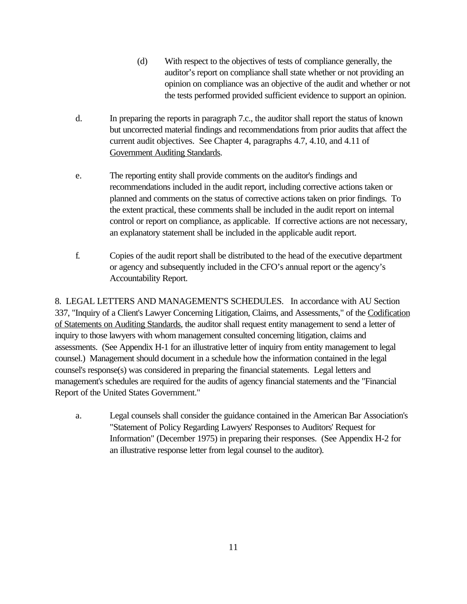- (d) With respect to the objectives of tests of compliance generally, the auditor's report on compliance shall state whether or not providing an opinion on compliance was an objective of the audit and whether or not the tests performed provided sufficient evidence to support an opinion.
- d. In preparing the reports in paragraph 7.c., the auditor shall report the status of known but uncorrected material findings and recommendations from prior audits that affect the current audit objectives. See Chapter 4, paragraphs 4.7, 4.10, and 4.11 of Government Auditing Standards.
- e. The reporting entity shall provide comments on the auditor's findings and recommendations included in the audit report, including corrective actions taken or planned and comments on the status of corrective actions taken on prior findings. To the extent practical, these comments shall be included in the audit report on internal control or report on compliance, as applicable. If corrective actions are not necessary, an explanatory statement shall be included in the applicable audit report.
- f. Copies of the audit report shall be distributed to the head of the executive department or agency and subsequently included in the CFO's annual report or the agency's Accountability Report.

8. LEGAL LETTERS AND MANAGEMENT'S SCHEDULES. In accordance with AU Section 337, "Inquiry of a Client's Lawyer Concerning Litigation, Claims, and Assessments," of the Codification of Statements on Auditing Standards, the auditor shall request entity management to send a letter of inquiry to those lawyers with whom management consulted concerning litigation, claims and assessments. (See Appendix H-1 for an illustrative letter of inquiry from entity management to legal counsel.) Management should document in a schedule how the information contained in the legal counsel's response(s) was considered in preparing the financial statements. Legal letters and management's schedules are required for the audits of agency financial statements and the "Financial Report of the United States Government."

a. Legal counsels shall consider the guidance contained in the American Bar Association's "Statement of Policy Regarding Lawyers' Responses to Auditors' Request for Information" (December 1975) in preparing their responses. (See Appendix H-2 for an illustrative response letter from legal counsel to the auditor).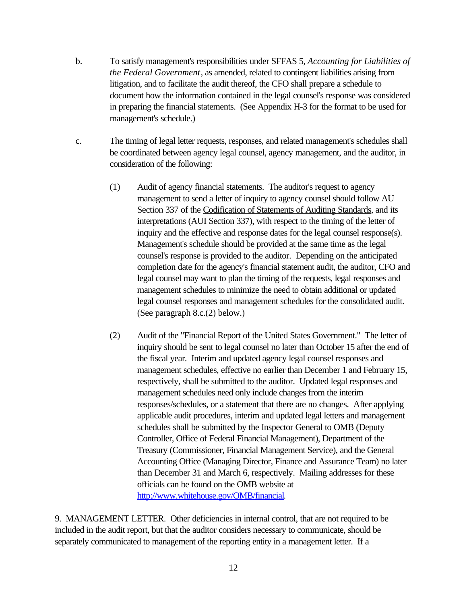- b. To satisfy management's responsibilities under SFFAS 5, *Accounting for Liabilities of the Federal Government*, as amended, related to contingent liabilities arising from litigation, and to facilitate the audit thereof, the CFO shall prepare a schedule to document how the information contained in the legal counsel's response was considered in preparing the financial statements. (See Appendix H-3 for the format to be used for management's schedule.)
- c. The timing of legal letter requests, responses, and related management's schedules shall be coordinated between agency legal counsel, agency management, and the auditor, in consideration of the following:
	- (1) Audit of agency financial statements. The auditor's request to agency management to send a letter of inquiry to agency counsel should follow AU Section 337 of the Codification of Statements of Auditing Standards, and its interpretations (AUI Section 337), with respect to the timing of the letter of inquiry and the effective and response dates for the legal counsel response(s). Management's schedule should be provided at the same time as the legal counsel's response is provided to the auditor. Depending on the anticipated completion date for the agency's financial statement audit, the auditor, CFO and legal counsel may want to plan the timing of the requests, legal responses and management schedules to minimize the need to obtain additional or updated legal counsel responses and management schedules for the consolidated audit. (See paragraph 8.c.(2) below.)
	- (2) Audit of the "Financial Report of the United States Government." The letter of inquiry should be sent to legal counsel no later than October 15 after the end of the fiscal year. Interim and updated agency legal counsel responses and management schedules, effective no earlier than December 1 and February 15, respectively, shall be submitted to the auditor. Updated legal responses and management schedules need only include changes from the interim responses/schedules, or a statement that there are no changes. After applying applicable audit procedures, interim and updated legal letters and management schedules shall be submitted by the Inspector General to OMB (Deputy Controller, Office of Federal Financial Management), Department of the Treasury (Commissioner, Financial Management Service), and the General Accounting Office (Managing Director, Finance and Assurance Team) no later than December 31 and March 6, respectively. Mailing addresses for these officials can be found on the OMB website at http://www.whitehouse.gov/OMB/financial.

9. MANAGEMENT LETTER. Other deficiencies in internal control, that are not required to be included in the audit report, but that the auditor considers necessary to communicate, should be separately communicated to management of the reporting entity in a management letter. If a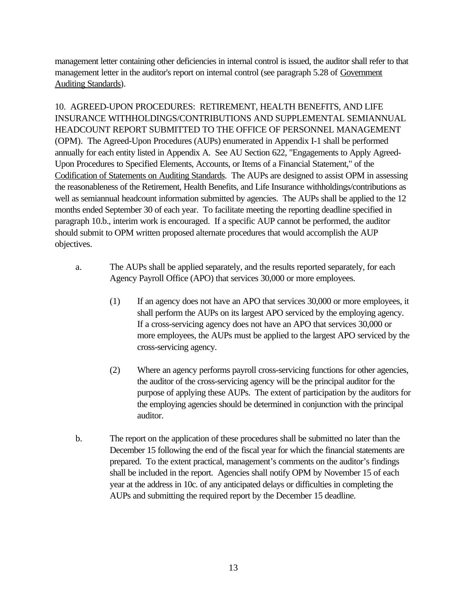management letter containing other deficiencies in internal control is issued, the auditor shall refer to that management letter in the auditor's report on internal control (see paragraph 5.28 of Government Auditing Standards).

10. AGREED-UPON PROCEDURES: RETIREMENT, HEALTH BENEFITS, AND LIFE INSURANCE WITHHOLDINGS/CONTRIBUTIONS AND SUPPLEMENTAL SEMIANNUAL HEADCOUNT REPORT SUBMITTED TO THE OFFICE OF PERSONNEL MANAGEMENT (OPM).The Agreed-Upon Procedures (AUPs) enumerated in Appendix I-1 shall be performed annually for each entity listed in Appendix A. See AU Section 622, "Engagements to Apply Agreed-Upon Procedures to Specified Elements, Accounts, or Items of a Financial Statement," of the Codification of Statements on Auditing Standards. The AUPs are designed to assist OPM in assessing the reasonableness of the Retirement, Health Benefits, and Life Insurance withholdings/contributions as well as semiannual headcount information submitted by agencies. The AUPs shall be applied to the 12 months ended September 30 of each year. To facilitate meeting the reporting deadline specified in paragraph 10.b., interim work is encouraged. If a specific AUP cannot be performed, the auditor should submit to OPM written proposed alternate procedures that would accomplish the AUP objectives.

- a. The AUPs shall be applied separately, and the results reported separately, for each Agency Payroll Office (APO) that services 30,000 or more employees.
	- (1) If an agency does not have an APO that services 30,000 or more employees, it shall perform the AUPs on its largest APO serviced by the employing agency. If a cross-servicing agency does not have an APO that services 30,000 or more employees, the AUPs must be applied to the largest APO serviced by the cross-servicing agency.
	- (2) Where an agency performs payroll cross-servicing functions for other agencies, the auditor of the cross-servicing agency will be the principal auditor for the purpose of applying these AUPs. The extent of participation by the auditors for the employing agencies should be determined in conjunction with the principal auditor.
- b. The report on the application of these procedures shall be submitted no later than the December 15 following the end of the fiscal year for which the financial statements are prepared. To the extent practical, management's comments on the auditor's findings shall be included in the report. Agencies shall notify OPM by November 15 of each year at the address in 10c. of any anticipated delays or difficulties in completing the AUPs and submitting the required report by the December 15 deadline.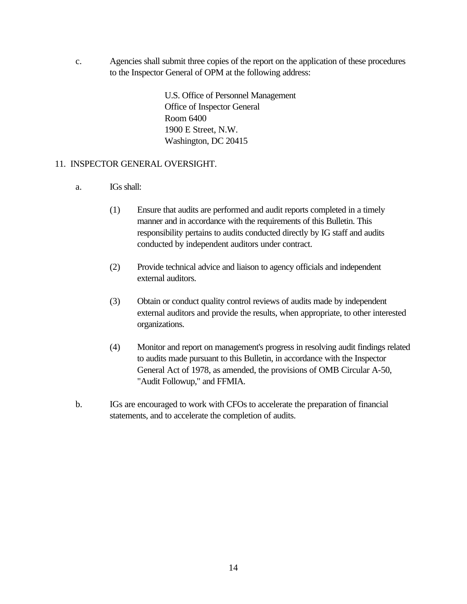c. Agencies shall submit three copies of the report on the application of these procedures to the Inspector General of OPM at the following address:

> U.S. Office of Personnel Management Office of Inspector General Room 6400 1900 E Street, N.W. Washington, DC 20415

### 11. INSPECTOR GENERAL OVERSIGHT.

- a. IGs shall:
	- (1) Ensure that audits are performed and audit reports completed in a timely manner and in accordance with the requirements of this Bulletin. This responsibility pertains to audits conducted directly by IG staff and audits conducted by independent auditors under contract.
	- (2) Provide technical advice and liaison to agency officials and independent external auditors.
	- (3) Obtain or conduct quality control reviews of audits made by independent external auditors and provide the results, when appropriate, to other interested organizations.
	- (4) Monitor and report on management's progress in resolving audit findings related to audits made pursuant to this Bulletin, in accordance with the Inspector General Act of 1978, as amended, the provisions of OMB Circular A-50, "Audit Followup," and FFMIA.
- b. IGs are encouraged to work with CFOs to accelerate the preparation of financial statements, and to accelerate the completion of audits.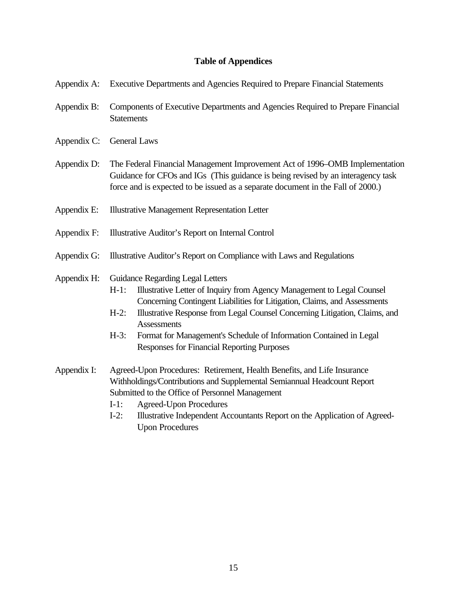## **Table of Appendices**

| Appendix A: Executive Departments and Agencies Required to Prepare Financial Statements |  |  |  |  |
|-----------------------------------------------------------------------------------------|--|--|--|--|
|                                                                                         |  |  |  |  |

- Appendix B: Components of Executive Departments and Agencies Required to Prepare Financial **Statements**
- Appendix C: General Laws
- Appendix D: The Federal Financial Management Improvement Act of 1996–OMB Implementation Guidance for CFOs and IGs (This guidance is being revised by an interagency task force and is expected to be issued as a separate document in the Fall of 2000.)
- Appendix E: Illustrative Management Representation Letter
- Appendix F: Illustrative Auditor's Report on Internal Control
- Appendix G: Illustrative Auditor's Report on Compliance with Laws and Regulations
- Appendix H: Guidance Regarding Legal Letters
	- H-1: Illustrative Letter of Inquiry from Agency Management to Legal Counsel Concerning Contingent Liabilities for Litigation, Claims, and Assessments
	- H-2: Illustrative Response from Legal Counsel Concerning Litigation, Claims, and **Assessments**
	- H-3: Format for Management's Schedule of Information Contained in Legal Responses for Financial Reporting Purposes
- Appendix I: Agreed-Upon Procedures: Retirement, Health Benefits, and Life Insurance Withholdings/Contributions and Supplemental Semiannual Headcount Report Submitted to the Office of Personnel Management
	- I-1: Agreed-Upon Procedures
	- I-2: Illustrative Independent Accountants Report on the Application of Agreed-Upon Procedures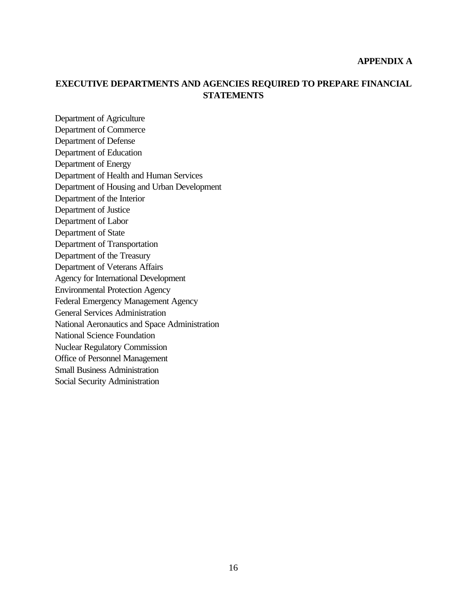### **APPENDIX A**

## **EXECUTIVE DEPARTMENTS AND AGENCIES REQUIRED TO PREPARE FINANCIAL STATEMENTS**

Department of Agriculture Department of Commerce Department of Defense Department of Education Department of Energy Department of Health and Human Services Department of Housing and Urban Development Department of the Interior Department of Justice Department of Labor Department of State Department of Transportation Department of the Treasury Department of Veterans Affairs Agency for International Development Environmental Protection Agency Federal Emergency Management Agency General Services Administration National Aeronautics and Space Administration National Science Foundation Nuclear Regulatory Commission Office of Personnel Management Small Business Administration Social Security Administration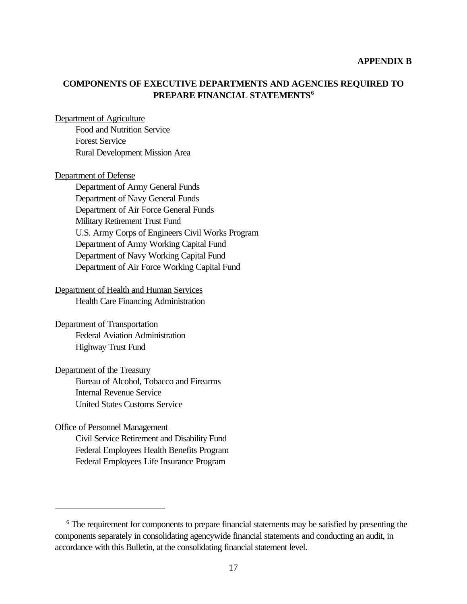#### **APPENDIX B**

## **COMPONENTS OF EXECUTIVE DEPARTMENTS AND AGENCIES REQUIRED TO PREPARE FINANCIAL STATEMENTS<sup>6</sup>**

#### Department of Agriculture

Food and Nutrition Service Forest Service Rural Development Mission Area

#### Department of Defense

Department of Army General Funds Department of Navy General Funds Department of Air Force General Funds Military Retirement Trust Fund U.S. Army Corps of Engineers Civil Works Program Department of Army Working Capital Fund Department of Navy Working Capital Fund Department of Air Force Working Capital Fund

### Department of Health and Human Services

Health Care Financing Administration

Department of Transportation Federal Aviation Administration Highway Trust Fund

## Department of the Treasury Bureau of Alcohol, Tobacco and Firearms Internal Revenue Service United States Customs Service

### Office of Personnel Management

Civil Service Retirement and Disability Fund Federal Employees Health Benefits Program Federal Employees Life Insurance Program

<sup>&</sup>lt;sup>6</sup> The requirement for components to prepare financial statements may be satisfied by presenting the components separately in consolidating agencywide financial statements and conducting an audit, in accordance with this Bulletin, at the consolidating financial statement level.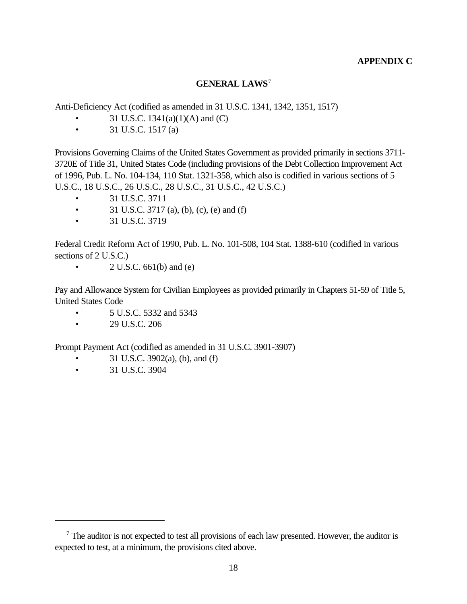## **APPENDIX C**

## **GENERAL LAWS**<sup>7</sup>

Anti-Deficiency Act (codified as amended in 31 U.S.C. 1341, 1342, 1351, 1517)

- 31 U.S.C.  $1341(a)(1)(A)$  and  $(C)$
- 31 U.S.C. 1517 (a)

Provisions Governing Claims of the United States Government as provided primarily in sections 3711- 3720E of Title 31, United States Code (including provisions of the Debt Collection Improvement Act of 1996, Pub. L. No. 104-134, 110 Stat. 1321-358, which also is codified in various sections of 5 U.S.C., 18 U.S.C., 26 U.S.C., 28 U.S.C., 31 U.S.C., 42 U.S.C.)

- 31 U.S.C. 3711
- 31 U.S.C. 3717 (a), (b), (c), (e) and (f)
- 31 U.S.C. 3719

Federal Credit Reform Act of 1990, Pub. L. No. 101-508, 104 Stat. 1388-610 (codified in various sections of 2 U.S.C.)

•  $2 \text{ U.S.C. } 661(\text{b}) \text{ and } (\text{e})$ 

Pay and Allowance System for Civilian Employees as provided primarily in Chapters 51-59 of Title 5, United States Code

- 5 U.S.C. 5332 and 5343
- 29 U.S.C. 206

Prompt Payment Act (codified as amended in 31 U.S.C. 3901-3907)

- 31 U.S.C. 3902(a), (b), and (f)
- 31 U.S.C. 3904

 $<sup>7</sup>$  The auditor is not expected to test all provisions of each law presented. However, the auditor is</sup> expected to test, at a minimum, the provisions cited above.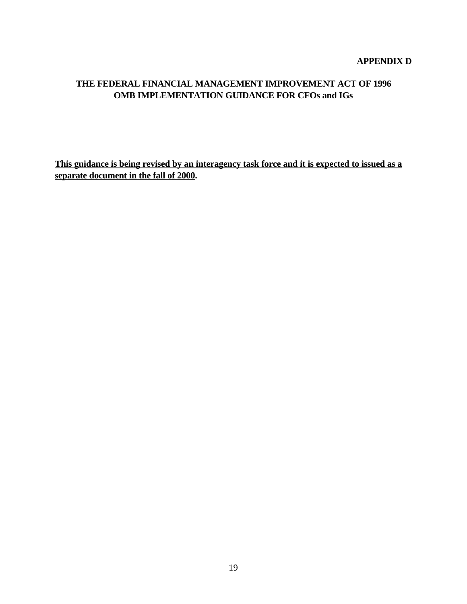### **APPENDIX D**

## **THE FEDERAL FINANCIAL MANAGEMENT IMPROVEMENT ACT OF 1996 OMB IMPLEMENTATION GUIDANCE FOR CFOs and IGs**

**This guidance is being revised by an interagency task force and it is expected to issued as a separate document in the fall of 2000.**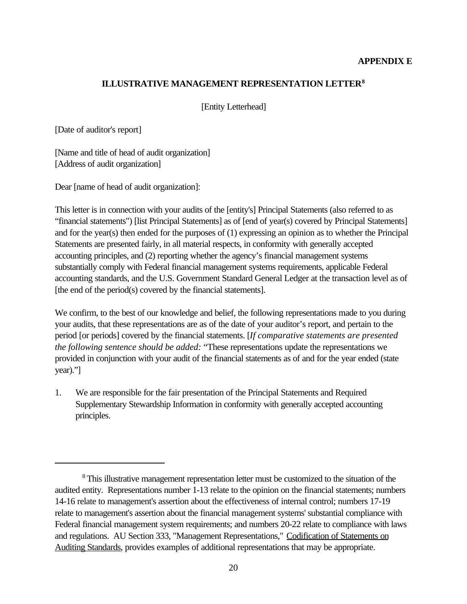## **ILLUSTRATIVE MANAGEMENT REPRESENTATION LETTER<sup>8</sup>**

[Entity Letterhead]

[Date of auditor's report]

[Name and title of head of audit organization] [Address of audit organization]

Dear [name of head of audit organization]:

This letter is in connection with your audits of the [entity's] Principal Statements (also referred to as "financial statements") [list Principal Statements] as of [end of year(s) covered by Principal Statements] and for the year(s) then ended for the purposes of (1) expressing an opinion as to whether the Principal Statements are presented fairly, in all material respects, in conformity with generally accepted accounting principles, and (2) reporting whether the agency's financial management systems substantially comply with Federal financial management systems requirements, applicable Federal accounting standards, and the U.S. Government Standard General Ledger at the transaction level as of [the end of the period(s) covered by the financial statements].

We confirm, to the best of our knowledge and belief, the following representations made to you during your audits, that these representations are as of the date of your auditor's report, and pertain to the period [or periods] covered by the financial statements. [*If comparative statements are presented the following sentence should be added:* "These representations update the representations we provided in conjunction with your audit of the financial statements as of and for the year ended (state year)."]

1. We are responsible for the fair presentation of the Principal Statements and Required Supplementary Stewardship Information in conformity with generally accepted accounting principles.

<sup>&</sup>lt;sup>8</sup>This illustrative management representation letter must be customized to the situation of the audited entity. Representations number 1-13 relate to the opinion on the financial statements; numbers 14-16 relate to management's assertion about the effectiveness of internal control; numbers 17-19 relate to management's assertion about the financial management systems' substantial compliance with Federal financial management system requirements; and numbers 20-22 relate to compliance with laws and regulations. AU Section 333, "Management Representations," Codification of Statements on Auditing Standards, provides examples of additional representations that may be appropriate.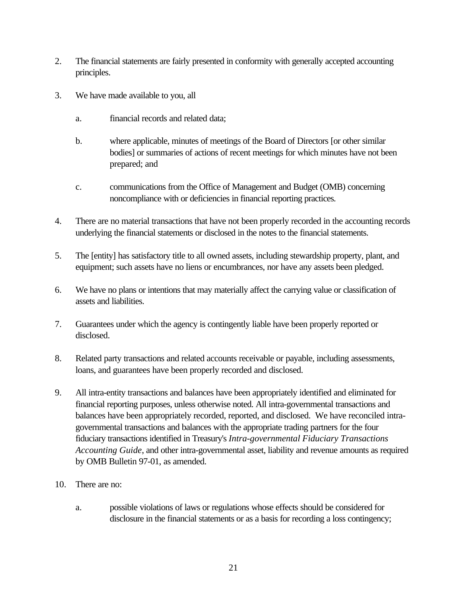- 2. The financial statements are fairly presented in conformity with generally accepted accounting principles.
- 3. We have made available to you, all
	- a. financial records and related data;
	- b. where applicable, minutes of meetings of the Board of Directors [or other similar bodies] or summaries of actions of recent meetings for which minutes have not been prepared; and
	- c. communications from the Office of Management and Budget (OMB) concerning noncompliance with or deficiencies in financial reporting practices.
- 4. There are no material transactions that have not been properly recorded in the accounting records underlying the financial statements or disclosed in the notes to the financial statements.
- 5. The [entity] has satisfactory title to all owned assets, including stewardship property, plant, and equipment; such assets have no liens or encumbrances, nor have any assets been pledged.
- 6. We have no plans or intentions that may materially affect the carrying value or classification of assets and liabilities.
- 7. Guarantees under which the agency is contingently liable have been properly reported or disclosed.
- 8. Related party transactions and related accounts receivable or payable, including assessments, loans, and guarantees have been properly recorded and disclosed.
- 9. All intra-entity transactions and balances have been appropriately identified and eliminated for financial reporting purposes, unless otherwise noted. All intra-governmental transactions and balances have been appropriately recorded, reported, and disclosed. We have reconciled intragovernmental transactions and balances with the appropriate trading partners for the four fiduciary transactions identified in Treasury's *Intra-governmental Fiduciary Transactions Accounting Guide*, and other intra-governmental asset, liability and revenue amounts as required by OMB Bulletin 97-01, as amended.
- 10. There are no:
	- a. possible violations of laws or regulations whose effects should be considered for disclosure in the financial statements or as a basis for recording a loss contingency;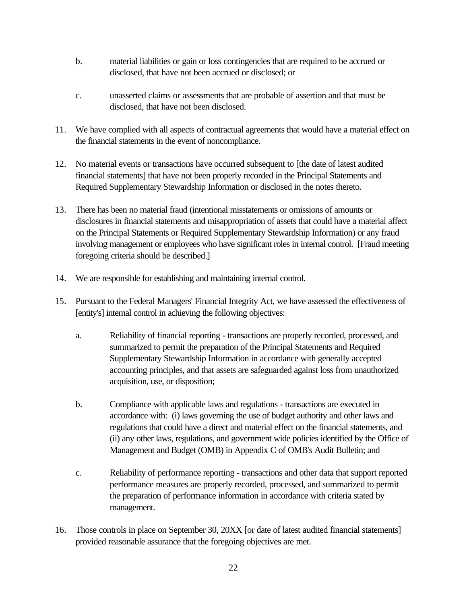- b. material liabilities or gain or loss contingencies that are required to be accrued or disclosed, that have not been accrued or disclosed; or
- c. unasserted claims or assessments that are probable of assertion and that must be disclosed, that have not been disclosed.
- 11. We have complied with all aspects of contractual agreements that would have a material effect on the financial statements in the event of noncompliance.
- 12. No material events or transactions have occurred subsequent to [the date of latest audited financial statements] that have not been properly recorded in the Principal Statements and Required Supplementary Stewardship Information or disclosed in the notes thereto.
- 13. There has been no material fraud (intentional misstatements or omissions of amounts or disclosures in financial statements and misappropriation of assets that could have a material affect on the Principal Statements or Required Supplementary Stewardship Information) or any fraud involving management or employees who have significant roles in internal control. [Fraud meeting foregoing criteria should be described.]
- 14. We are responsible for establishing and maintaining internal control.
- 15. Pursuant to the Federal Managers' Financial Integrity Act, we have assessed the effectiveness of [entity's] internal control in achieving the following objectives:
	- a. Reliability of financial reporting transactions are properly recorded, processed, and summarized to permit the preparation of the Principal Statements and Required Supplementary Stewardship Information in accordance with generally accepted accounting principles, and that assets are safeguarded against loss from unauthorized acquisition, use, or disposition;
	- b. Compliance with applicable laws and regulations transactions are executed in accordance with: (i) laws governing the use of budget authority and other laws and regulations that could have a direct and material effect on the financial statements, and (ii) any other laws, regulations, and government wide policies identified by the Office of Management and Budget (OMB) in Appendix C of OMB's Audit Bulletin; and
	- c. Reliability of performance reporting transactions and other data that support reported performance measures are properly recorded, processed, and summarized to permit the preparation of performance information in accordance with criteria stated by management.
- 16. Those controls in place on September 30, 20XX [or date of latest audited financial statements] provided reasonable assurance that the foregoing objectives are met.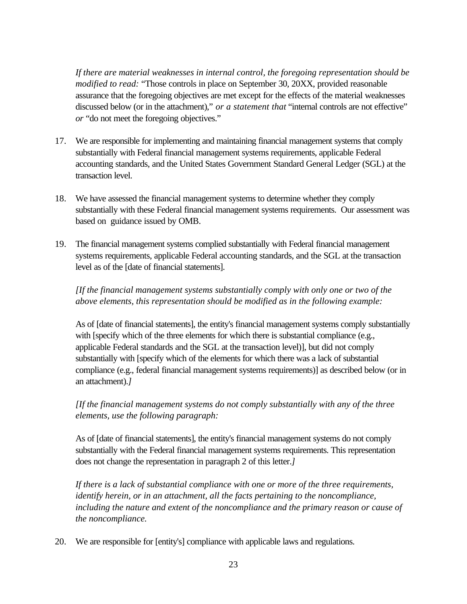*If there are material weaknesses in internal control, the foregoing representation should be modified to read:* "Those controls in place on September 30, 20XX, provided reasonable assurance that the foregoing objectives are met except for the effects of the material weaknesses discussed below (or in the attachment)," *or a statement that* "internal controls are not effective" *or* "do not meet the foregoing objectives."

- 17. We are responsible for implementing and maintaining financial management systems that comply substantially with Federal financial management systems requirements, applicable Federal accounting standards, and the United States Government Standard General Ledger (SGL) at the transaction level.
- 18. We have assessed the financial management systems to determine whether they comply substantially with these Federal financial management systems requirements. Our assessment was based on guidance issued by OMB.
- 19. The financial management systems complied substantially with Federal financial management systems requirements, applicable Federal accounting standards, and the SGL at the transaction level as of the [date of financial statements].

*[If the financial management systems substantially comply with only one or two of the above elements, this representation should be modified as in the following example:* 

As of [date of financial statements], the entity's financial management systems comply substantially with [specify which of the three elements for which there is substantial compliance (e.g., applicable Federal standards and the SGL at the transaction level)], but did not comply substantially with [specify which of the elements for which there was a lack of substantial compliance (e.g., federal financial management systems requirements)] as described below (or in an attachment).*]*

*[If the financial management systems do not comply substantially with any of the three elements, use the following paragraph:*

As of [date of financial statements], the entity's financial management systems do not comply substantially with the Federal financial management systems requirements. This representation does not change the representation in paragraph 2 of this letter.*]*

*If there is a lack of substantial compliance with one or more of the three requirements, identify herein, or in an attachment, all the facts pertaining to the noncompliance, including the nature and extent of the noncompliance and the primary reason or cause of the noncompliance.* 

20. We are responsible for [entity's] compliance with applicable laws and regulations.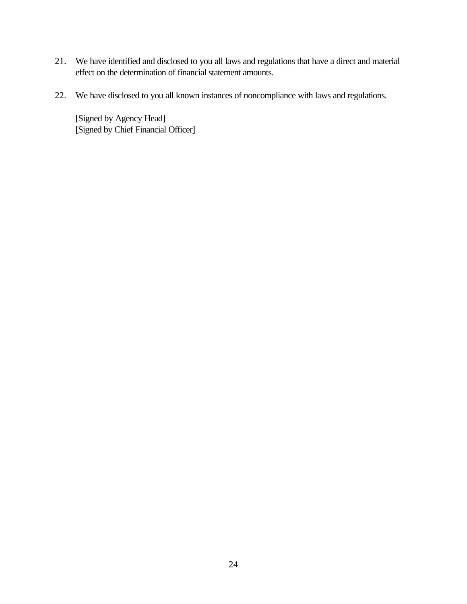- 21. We have identified and disclosed to you all laws and regulations that have a direct and material effect on the determination of financial statement amounts.
- 22. We have disclosed to you all known instances of noncompliance with laws and regulations.

[Signed by Agency Head] [Signed by Chief Financial Officer]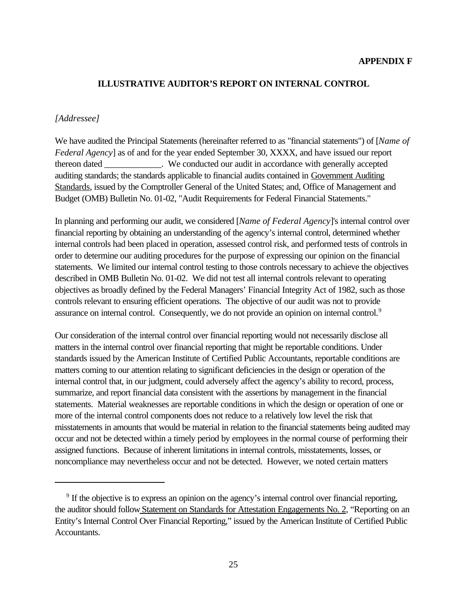#### **APPENDIX F**

### **ILLUSTRATIVE AUDITOR'S REPORT ON INTERNAL CONTROL**

#### *[Addressee]*

We have audited the Principal Statements (hereinafter referred to as "financial statements") of [*Name of Federal Agency*] as of and for the year ended September 30, XXXX, and have issued our report thereon dated  $\blacksquare$  We conducted our audit in accordance with generally accepted auditing standards; the standards applicable to financial audits contained in Government Auditing Standards, issued by the Comptroller General of the United States; and, Office of Management and Budget (OMB) Bulletin No. 01-02, "Audit Requirements for Federal Financial Statements."

In planning and performing our audit, we considered [*Name of Federal Agency*]'s internal control over financial reporting by obtaining an understanding of the agency's internal control, determined whether internal controls had been placed in operation, assessed control risk, and performed tests of controls in order to determine our auditing procedures for the purpose of expressing our opinion on the financial statements. We limited our internal control testing to those controls necessary to achieve the objectives described in OMB Bulletin No. 01-02. We did not test all internal controls relevant to operating objectives as broadly defined by the Federal Managers' Financial Integrity Act of 1982, such as those controls relevant to ensuring efficient operations. The objective of our audit was not to provide assurance on internal control. Consequently, we do not provide an opinion on internal control.<sup>9</sup>

Our consideration of the internal control over financial reporting would not necessarily disclose all matters in the internal control over financial reporting that might be reportable conditions. Under standards issued by the American Institute of Certified Public Accountants, reportable conditions are matters coming to our attention relating to significant deficiencies in the design or operation of the internal control that, in our judgment, could adversely affect the agency's ability to record, process, summarize, and report financial data consistent with the assertions by management in the financial statements. Material weaknesses are reportable conditions in which the design or operation of one or more of the internal control components does not reduce to a relatively low level the risk that misstatements in amounts that would be material in relation to the financial statements being audited may occur and not be detected within a timely period by employees in the normal course of performing their assigned functions. Because of inherent limitations in internal controls, misstatements, losses, or noncompliance may nevertheless occur and not be detected. However, we noted certain matters

<sup>&</sup>lt;sup>9</sup> If the objective is to express an opinion on the agency's internal control over financial reporting, the auditor should follow Statement on Standards for Attestation Engagements No. 2, "Reporting on an Entity's Internal Control Over Financial Reporting," issued by the American Institute of Certified Public Accountants.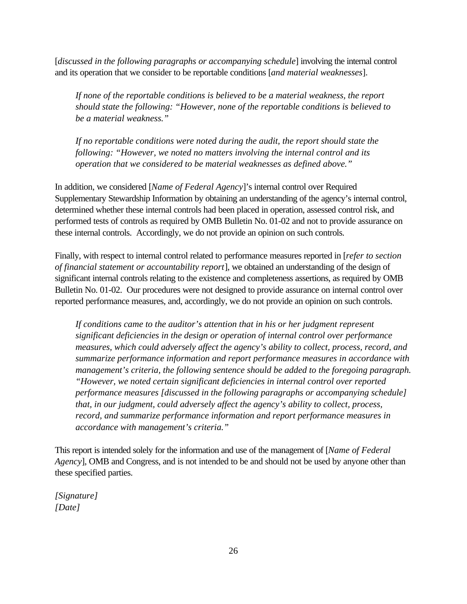[*discussed in the following paragraphs or accompanying schedule*] involving the internal control and its operation that we consider to be reportable conditions [*and material weaknesses*].

*If none of the reportable conditions is believed to be a material weakness, the report should state the following: "However, none of the reportable conditions is believed to be a material weakness."*

*If no reportable conditions were noted during the audit, the report should state the following: "However, we noted no matters involving the internal control and its operation that we considered to be material weaknesses as defined above."*

In addition, we considered [*Name of Federal Agency*]'s internal control over Required Supplementary Stewardship Information by obtaining an understanding of the agency's internal control, determined whether these internal controls had been placed in operation, assessed control risk, and performed tests of controls as required by OMB Bulletin No. 01-02 and not to provide assurance on these internal controls. Accordingly, we do not provide an opinion on such controls.

Finally, with respect to internal control related to performance measures reported in [*refer to section of financial statement or accountability report*], we obtained an understanding of the design of significant internal controls relating to the existence and completeness assertions, as required by OMB Bulletin No. 01-02. Our procedures were not designed to provide assurance on internal control over reported performance measures, and, accordingly, we do not provide an opinion on such controls.

*If conditions came to the auditor's attention that in his or her judgment represent significant deficiencies in the design or operation of internal control over performance measures, which could adversely affect the agency's ability to collect, process, record, and summarize performance information and report performance measures in accordance with management's criteria, the following sentence should be added to the foregoing paragraph. "However, we noted certain significant deficiencies in internal control over reported performance measures [discussed in the following paragraphs or accompanying schedule] that, in our judgment, could adversely affect the agency's ability to collect, process, record, and summarize performance information and report performance measures in accordance with management's criteria."* 

This report is intended solely for the information and use of the management of [*Name of Federal Agency*], OMB and Congress, and is not intended to be and should not be used by anyone other than these specified parties.

*[Signature] [Date]*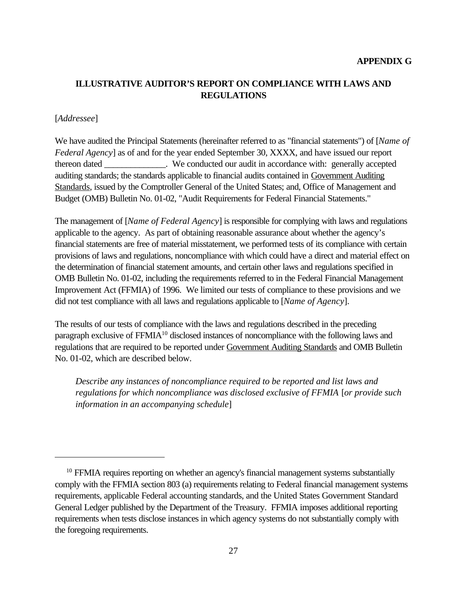# **ILLUSTRATIVE AUDITOR'S REPORT ON COMPLIANCE WITH LAWS AND REGULATIONS**

### [*Addressee*]

We have audited the Principal Statements (hereinafter referred to as "financial statements") of [*Name of Federal Agency*] as of and for the year ended September 30, XXXX, and have issued our report thereon dated  $\blacksquare$  We conducted our audit in accordance with: generally accepted auditing standards; the standards applicable to financial audits contained in Government Auditing Standards, issued by the Comptroller General of the United States; and, Office of Management and Budget (OMB) Bulletin No. 01-02, "Audit Requirements for Federal Financial Statements."

The management of [*Name of Federal Agency*] is responsible for complying with laws and regulations applicable to the agency. As part of obtaining reasonable assurance about whether the agency's financial statements are free of material misstatement, we performed tests of its compliance with certain provisions of laws and regulations, noncompliance with which could have a direct and material effect on the determination of financial statement amounts, and certain other laws and regulations specified in OMB Bulletin No. 01-02, including the requirements referred to in the Federal Financial Management Improvement Act (FFMIA) of 1996. We limited our tests of compliance to these provisions and we did not test compliance with all laws and regulations applicable to [*Name of Agency*].

The results of our tests of compliance with the laws and regulations described in the preceding paragraph exclusive of FFMIA<sup>10</sup> disclosed instances of noncompliance with the following laws and regulations that are required to be reported under Government Auditing Standards and OMB Bulletin No. 01-02, which are described below.

*Describe any instances of noncompliance required to be reported and list laws and regulations for which noncompliance was disclosed exclusive of FFMIA* [*or provide such information in an accompanying schedule*]

 $10$  FFMIA requires reporting on whether an agency's financial management systems substantially comply with the FFMIA section 803 (a) requirements relating to Federal financial management systems requirements, applicable Federal accounting standards, and the United States Government Standard General Ledger published by the Department of the Treasury. FFMIA imposes additional reporting requirements when tests disclose instances in which agency systems do not substantially comply with the foregoing requirements.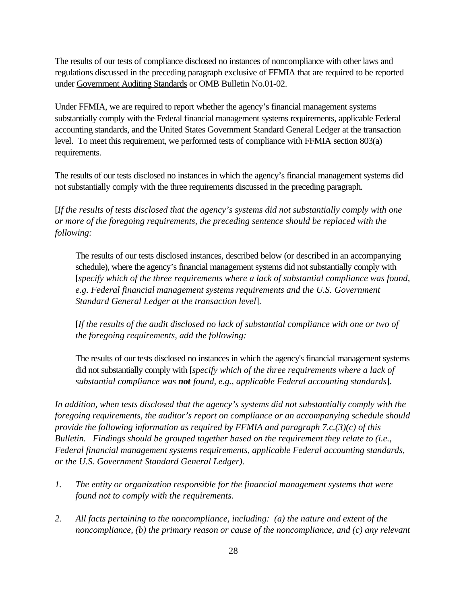The results of our tests of compliance disclosed no instances of noncompliance with other laws and regulations discussed in the preceding paragraph exclusive of FFMIA that are required to be reported under Government Auditing Standards or OMB Bulletin No.01-02.

Under FFMIA, we are required to report whether the agency's financial management systems substantially comply with the Federal financial management systems requirements, applicable Federal accounting standards, and the United States Government Standard General Ledger at the transaction level. To meet this requirement, we performed tests of compliance with FFMIA section 803(a) requirements.

The results of our tests disclosed no instances in which the agency's financial management systems did not substantially comply with the three requirements discussed in the preceding paragraph.

[*If the results of tests disclosed that the agency's systems did not substantially comply with one or more of the foregoing requirements, the preceding sentence should be replaced with the following:*

The results of our tests disclosed instances, described below (or described in an accompanying schedule), where the agency's financial management systems did not substantially comply with [*specify which of the three requirements where a lack of substantial compliance was found, e.g. Federal financial management systems requirements and the U.S. Government Standard General Ledger at the transaction level*].

[*If the results of the audit disclosed no lack of substantial compliance with one or two of the foregoing requirements, add the following:*

The results of our tests disclosed no instances in which the agency's financial management systems did not substantially comply with [*specify which of the three requirements where a lack of substantial compliance was not found, e.g., applicable Federal accounting standards*].

*In addition, when tests disclosed that the agency's systems did not substantially comply with the foregoing requirements, the auditor's report on compliance or an accompanying schedule should provide the following information as required by FFMIA and paragraph 7.c.(3)(c) of this Bulletin. Findings should be grouped together based on the requirement they relate to (i.e., Federal financial management systems requirements, applicable Federal accounting standards, or the U.S. Government Standard General Ledger).* 

- *1. The entity or organization responsible for the financial management systems that were found not to comply with the requirements.*
- *2. All facts pertaining to the noncompliance, including: (a) the nature and extent of the noncompliance, (b) the primary reason or cause of the noncompliance, and (c) any relevant*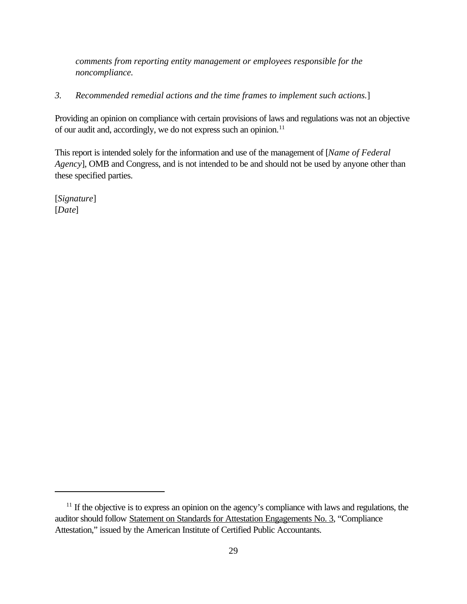*comments from reporting entity management or employees responsible for the noncompliance.*

## *3. Recommended remedial actions and the time frames to implement such actions.*]

Providing an opinion on compliance with certain provisions of laws and regulations was not an objective of our audit and, accordingly, we do not express such an opinion.<sup>11</sup>

This report is intended solely for the information and use of the management of [*Name of Federal Agency*], OMB and Congress, and is not intended to be and should not be used by anyone other than these specified parties.

[*Signature*] [*Date*]

<sup>&</sup>lt;sup>11</sup> If the objective is to express an opinion on the agency's compliance with laws and regulations, the auditor should follow Statement on Standards for Attestation Engagements No. 3, "Compliance Attestation," issued by the American Institute of Certified Public Accountants.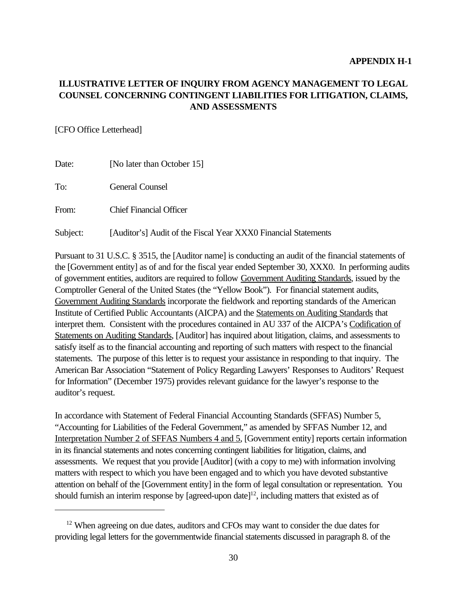# **ILLUSTRATIVE LETTER OF INQUIRY FROM AGENCY MANAGEMENT TO LEGAL COUNSEL CONCERNING CONTINGENT LIABILITIES FOR LITIGATION, CLAIMS, AND ASSESSMENTS**

### [CFO Office Letterhead]

| Date:    | [No later than October 15]                                     |
|----------|----------------------------------------------------------------|
| To:      | <b>General Counsel</b>                                         |
| From:    | <b>Chief Financial Officer</b>                                 |
| Subject: | [Auditor's] Audit of the Fiscal Year XXX0 Financial Statements |

Pursuant to 31 U.S.C. § 3515, the [Auditor name] is conducting an audit of the financial statements of the [Government entity] as of and for the fiscal year ended September 30, XXX0. In performing audits of government entities, auditors are required to follow Government Auditing Standards, issued by the Comptroller General of the United States (the "Yellow Book"). For financial statement audits, Government Auditing Standards incorporate the fieldwork and reporting standards of the American Institute of Certified Public Accountants (AICPA) and the Statements on Auditing Standards that interpret them. Consistent with the procedures contained in AU 337 of the AICPA's Codification of Statements on Auditing Standards, [Auditor] has inquired about litigation, claims, and assessments to satisfy itself as to the financial accounting and reporting of such matters with respect to the financial statements. The purpose of this letter is to request your assistance in responding to that inquiry. The American Bar Association "Statement of Policy Regarding Lawyers' Responses to Auditors' Request for Information" (December 1975) provides relevant guidance for the lawyer's response to the auditor's request.

In accordance with Statement of Federal Financial Accounting Standards (SFFAS) Number 5, "Accounting for Liabilities of the Federal Government," as amended by SFFAS Number 12, and Interpretation Number 2 of SFFAS Numbers 4 and 5, [Government entity] reports certain information in its financial statements and notes concerning contingent liabilities for litigation, claims, and assessments. We request that you provide [Auditor] (with a copy to me) with information involving matters with respect to which you have been engaged and to which you have devoted substantive attention on behalf of the [Government entity] in the form of legal consultation or representation. You should furnish an interim response by [agreed-upon date]<sup>12</sup>, including matters that existed as of

 $12$  When agreeing on due dates, auditors and CFOs may want to consider the due dates for providing legal letters for the governmentwide financial statements discussed in paragraph 8. of the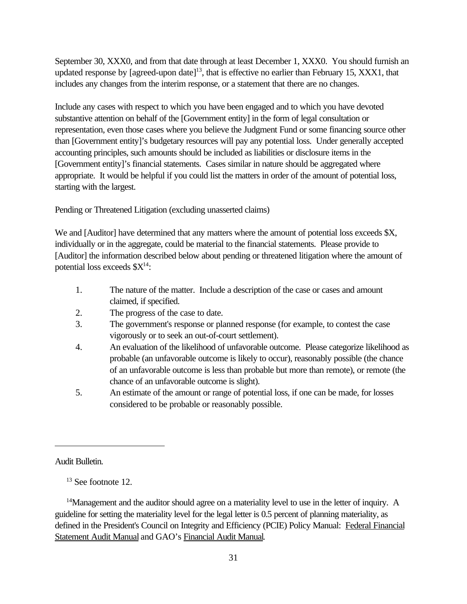September 30, XXX0, and from that date through at least December 1, XXX0. You should furnish an updated response by [agreed-upon date]<sup>13</sup>, that is effective no earlier than February 15, XXX1, that includes any changes from the interim response, or a statement that there are no changes.

Include any cases with respect to which you have been engaged and to which you have devoted substantive attention on behalf of the [Government entity] in the form of legal consultation or representation, even those cases where you believe the Judgment Fund or some financing source other than [Government entity]'s budgetary resources will pay any potential loss. Under generally accepted accounting principles, such amounts should be included as liabilities or disclosure items in the [Government entity]'s financial statements. Cases similar in nature should be aggregated where appropriate. It would be helpful if you could list the matters in order of the amount of potential loss, starting with the largest.

Pending or Threatened Litigation (excluding unasserted claims)

We and [Auditor] have determined that any matters where the amount of potential loss exceeds \$X, individually or in the aggregate, could be material to the financial statements. Please provide to [Auditor] the information described below about pending or threatened litigation where the amount of potential loss exceeds  $X^{14}$ :

- 1. The nature of the matter. Include a description of the case or cases and amount claimed, if specified.
- 2. The progress of the case to date.
- 3. The government's response or planned response (for example, to contest the case vigorously or to seek an out-of-court settlement).
- 4. An evaluation of the likelihood of unfavorable outcome. Please categorize likelihood as probable (an unfavorable outcome is likely to occur), reasonably possible (the chance of an unfavorable outcome is less than probable but more than remote), or remote (the chance of an unfavorable outcome is slight).
- 5. An estimate of the amount or range of potential loss, if one can be made, for losses considered to be probable or reasonably possible.

Audit Bulletin.

 $13$  See footnote 12.

 $<sup>14</sup>$ Management and the auditor should agree on a materiality level to use in the letter of inquiry. A</sup> guideline for setting the materiality level for the legal letter is 0.5 percent of planning materiality, as defined in the President's Council on Integrity and Efficiency (PCIE) Policy Manual: Federal Financial Statement Audit Manual and GAO's Financial Audit Manual.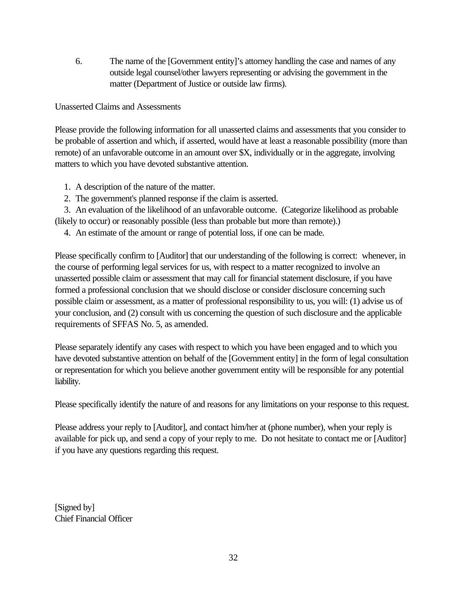6. The name of the [Government entity]'s attorney handling the case and names of any outside legal counsel/other lawyers representing or advising the government in the matter (Department of Justice or outside law firms).

## Unasserted Claims and Assessments

Please provide the following information for all unasserted claims and assessments that you consider to be probable of assertion and which, if asserted, would have at least a reasonable possibility (more than remote) of an unfavorable outcome in an amount over \$X, individually or in the aggregate, involving matters to which you have devoted substantive attention.

- 1. A description of the nature of the matter.
- 2. The government's planned response if the claim is asserted.

 3. An evaluation of the likelihood of an unfavorable outcome. (Categorize likelihood as probable (likely to occur) or reasonably possible (less than probable but more than remote).)

4. An estimate of the amount or range of potential loss, if one can be made.

Please specifically confirm to [Auditor] that our understanding of the following is correct: whenever, in the course of performing legal services for us, with respect to a matter recognized to involve an unasserted possible claim or assessment that may call for financial statement disclosure, if you have formed a professional conclusion that we should disclose or consider disclosure concerning such possible claim or assessment, as a matter of professional responsibility to us, you will: (1) advise us of your conclusion, and (2) consult with us concerning the question of such disclosure and the applicable requirements of SFFAS No. 5, as amended.

Please separately identify any cases with respect to which you have been engaged and to which you have devoted substantive attention on behalf of the [Government entity] in the form of legal consultation or representation for which you believe another government entity will be responsible for any potential liability.

Please specifically identify the nature of and reasons for any limitations on your response to this request.

Please address your reply to [Auditor], and contact him/her at (phone number), when your reply is available for pick up, and send a copy of your reply to me. Do not hesitate to contact me or [Auditor] if you have any questions regarding this request.

[Signed by] Chief Financial Officer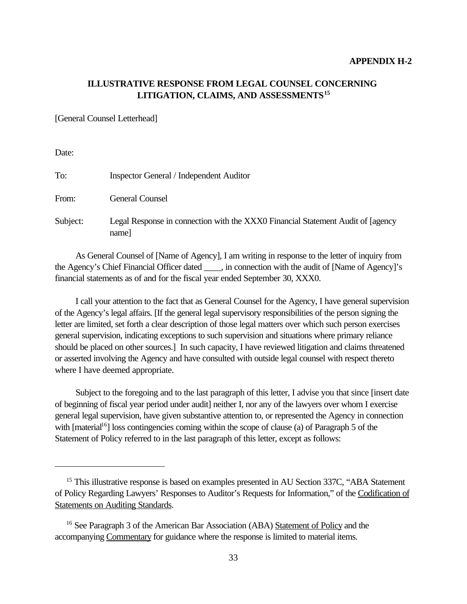## **ILLUSTRATIVE RESPONSE FROM LEGAL COUNSEL CONCERNING LITIGATION, CLAIMS, AND ASSESSMENTS<sup>15</sup>**

[General Counsel Letterhead]

Date:

| To:      | <b>Inspector General / Independent Auditor</b>                                            |
|----------|-------------------------------------------------------------------------------------------|
| From:    | <b>General Counsel</b>                                                                    |
| Subject: | Legal Response in connection with the XXX0 Financial Statement Audit of [agency]<br>name] |

As General Counsel of [Name of Agency], I am writing in response to the letter of inquiry from the Agency's Chief Financial Officer dated  $\ldots$ , in connection with the audit of [Name of Agency]'s financial statements as of and for the fiscal year ended September 30, XXX0.

I call your attention to the fact that as General Counsel for the Agency, I have general supervision of the Agency's legal affairs. [If the general legal supervisory responsibilities of the person signing the letter are limited, set forth a clear description of those legal matters over which such person exercises general supervision, indicating exceptions to such supervision and situations where primary reliance should be placed on other sources.] In such capacity, I have reviewed litigation and claims threatened or asserted involving the Agency and have consulted with outside legal counsel with respect thereto where I have deemed appropriate.

Subject to the foregoing and to the last paragraph of this letter, I advise you that since [insert date of beginning of fiscal year period under audit] neither I, nor any of the lawyers over whom I exercise general legal supervision, have given substantive attention to, or represented the Agency in connection with  $[material<sup>16</sup>]$  loss contingencies coming within the scope of clause (a) of Paragraph 5 of the Statement of Policy referred to in the last paragraph of this letter, except as follows:

<sup>&</sup>lt;sup>15</sup> This illustrative response is based on examples presented in AU Section 337C, "ABA Statement of Policy Regarding Lawyers' Responses to Auditor's Requests for Information," of the Codification of Statements on Auditing Standards.

<sup>16</sup> See Paragraph 3 of the American Bar Association (ABA) Statement of Policy and the accompanying Commentary for guidance where the response is limited to material items.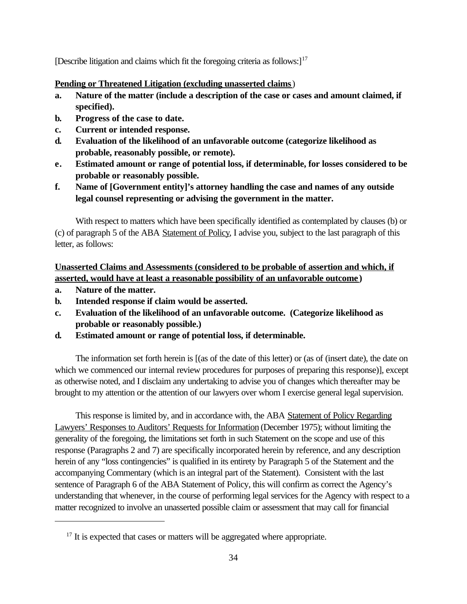[Describe litigation and claims which fit the foregoing criteria as follows: $]^{17}$ 

## **Pending or Threatened Litigation (excluding unasserted claims**)

- **a. Nature of the matter (include a description of the case or cases and amount claimed, if specified).**
- **b. Progress of the case to date.**
- **c. Current or intended response.**
- **d. Evaluation of the likelihood of an unfavorable outcome (categorize likelihood as probable, reasonably possible, or remote).**
- **e. Estimated amount or range of potential loss, if determinable, for losses considered to be probable or reasonably possible.**
- **f. Name of [Government entity]'s attorney handling the case and names of any outside legal counsel representing or advising the government in the matter.**

With respect to matters which have been specifically identified as contemplated by clauses (b) or (c) of paragraph 5 of the ABA Statement of Policy, I advise you, subject to the last paragraph of this letter, as follows:

**Unasserted Claims and Assessments (considered to be probable of assertion and which, if asserted, would have at least a reasonable possibility of an unfavorable outcome )**

- **a. Nature of the matter.**
- **b. Intended response if claim would be asserted.**
- **c. Evaluation of the likelihood of an unfavorable outcome. (Categorize likelihood as probable or reasonably possible.)**
- **d. Estimated amount or range of potential loss, if determinable.**

The information set forth herein is [(as of the date of this letter) or (as of (insert date), the date on which we commenced our internal review procedures for purposes of preparing this response)], except as otherwise noted, and I disclaim any undertaking to advise you of changes which thereafter may be brought to my attention or the attention of our lawyers over whom I exercise general legal supervision.

This response is limited by, and in accordance with, the ABA Statement of Policy Regarding Lawyers' Responses to Auditors' Requests for Information (December 1975); without limiting the generality of the foregoing, the limitations set forth in such Statement on the scope and use of this response (Paragraphs 2 and 7) are specifically incorporated herein by reference, and any description herein of any "loss contingencies" is qualified in its entirety by Paragraph 5 of the Statement and the accompanying Commentary (which is an integral part of the Statement). Consistent with the last sentence of Paragraph 6 of the ABA Statement of Policy, this will confirm as correct the Agency's understanding that whenever, in the course of performing legal services for the Agency with respect to a matter recognized to involve an unasserted possible claim or assessment that may call for financial

 $17$  It is expected that cases or matters will be aggregated where appropriate.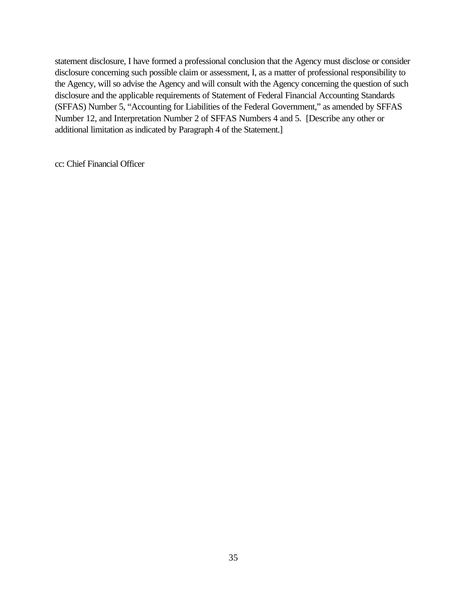statement disclosure, I have formed a professional conclusion that the Agency must disclose or consider disclosure concerning such possible claim or assessment, I, as a matter of professional responsibility to the Agency, will so advise the Agency and will consult with the Agency concerning the question of such disclosure and the applicable requirements of Statement of Federal Financial Accounting Standards (SFFAS) Number 5, "Accounting for Liabilities of the Federal Government," as amended by SFFAS Number 12, and Interpretation Number 2 of SFFAS Numbers 4 and 5. [Describe any other or additional limitation as indicated by Paragraph 4 of the Statement.]

cc: Chief Financial Officer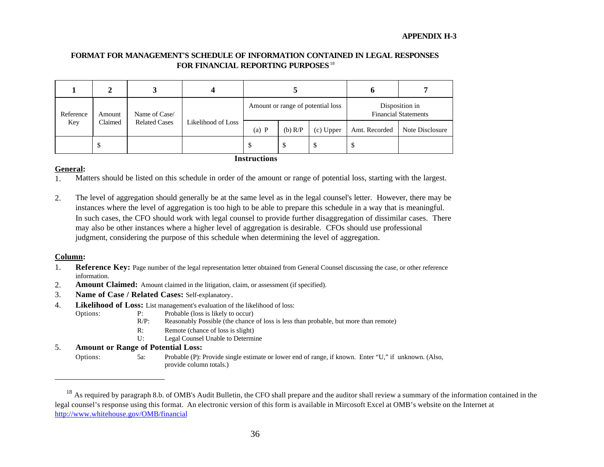#### **FORMAT FOR MANAGEMENT'S SCHEDULE OF INFORMATION CONTAINED IN LEGAL RESPONSES FOR FINANCIAL REPORTING PURPOSES**<sup>18</sup>

|                     |                         |                    |         |                                   |             |               | o                                             |  |
|---------------------|-------------------------|--------------------|---------|-----------------------------------|-------------|---------------|-----------------------------------------------|--|
| Reference           | Name of Case/<br>Amount |                    |         | Amount or range of potential loss |             |               | Disposition in<br><b>Financial Statements</b> |  |
| Claimed<br>Key      | <b>Related Cases</b>    | Likelihood of Loss | $(a)$ P | (b) $R/P$                         | $(c)$ Upper | Amt. Recorded | Note Disclosure                               |  |
|                     | \$                      |                    |         | D                                 | Φ           | D             | S                                             |  |
| <b>Instructions</b> |                         |                    |         |                                   |             |               |                                               |  |

#### **General:**

- 1. Matters should be listed on this schedule in order of the amount or range of potential loss, starting with the largest.
- 2. The level of aggregation should generally be at the same level as in the legal counsel's letter. However, there may be instances where the level of aggregation is too high to be able to prepare this schedule in a way that is meaningful. In such cases, the CFO should work with legal counsel to provide further disaggregation of dissimilar cases. There may also be other instances where a higher level of aggregation is desirable. CFOs should use professional judgment, considering the purpose of this schedule when determining the level of aggregation.

#### **Column:**

- 1. **Reference Key:** Page number of the legal representation letter obtained from General Counsel discussing the case, or other reference information.
- 2. **Amount Claimed:** Amount claimed in the litigation, claim, or assessment (if specified).
- 3. **Name of Case / Related Cases:** Self-explanatory.
- 4. **Likelihood of Loss:** List management's evaluation of the likelihood of loss:
	- Options: P: Probable (loss is likely to occur)
		- R/P: Reasonably Possible (the chance of loss is less than probable, but more than remote)
		- R: Remote (chance of loss is slight)
		- U: Legal Counsel Unable to Determine

#### 5. **Amount or Range of Potential Loss:**

Options: 5a: Probable (P): Provide single estimate or lower end of range, if known. Enter "U," if unknown. (Also, provide column totals.)

<sup>&</sup>lt;sup>18</sup> As required by paragraph 8.b. of OMB's Audit Bulletin, the CFO shall prepare and the auditor shall review a summary of the information contained in the legal counsel's response using this format. An electronic version of this form is available in Mircosoft Excel at OMB's website on the Internet at http://www.whitehouse.gov/OMB/financial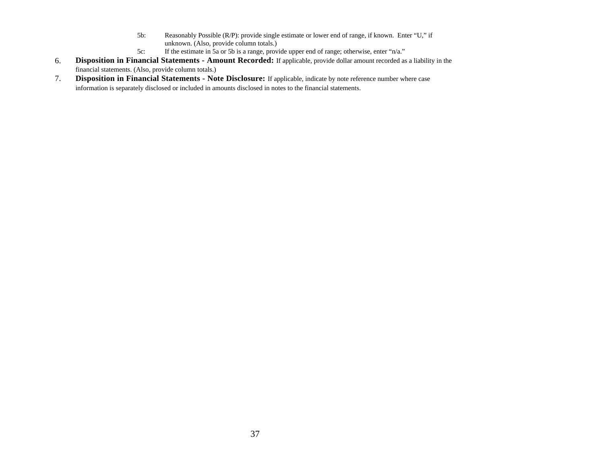- 5b: Reasonably Possible (R/P): provide single estimate or lower end of range, if known. Enter "U," if unknown. (Also, provide column totals.)
- 5c: If the estimate in 5a or 5b is a range, provide upper end of range; otherwise, enter "n/a."
- 6. **Disposition in Financial Statements Amount Recorded:** If applicable, provide dollar amount recorded as a liability in the financial statements. (Also, provide column totals.)
- 7. **Disposition in Financial Statements Note Disclosure:** If applicable, indicate by note reference number where case information is separately disclosed or included in amounts disclosed in notes to the financial statements.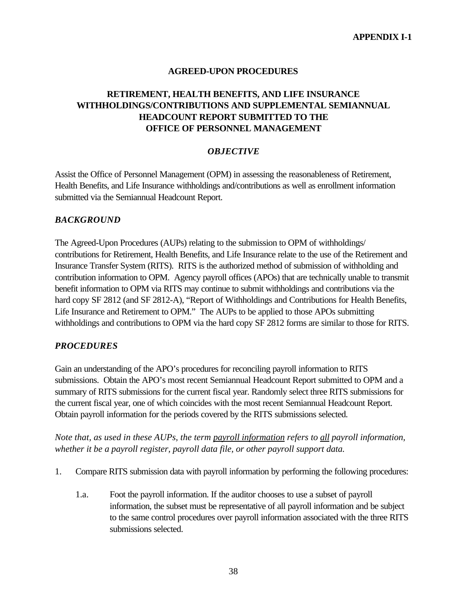## **AGREED-UPON PROCEDURES**

# **RETIREMENT, HEALTH BENEFITS, AND LIFE INSURANCE WITHHOLDINGS/CONTRIBUTIONS AND SUPPLEMENTAL SEMIANNUAL HEADCOUNT REPORT SUBMITTED TO THE OFFICE OF PERSONNEL MANAGEMENT**

### *OBJECTIVE*

Assist the Office of Personnel Management (OPM) in assessing the reasonableness of Retirement, Health Benefits, and Life Insurance withholdings and/contributions as well as enrollment information submitted via the Semiannual Headcount Report.

### *BACKGROUND*

The Agreed-Upon Procedures (AUPs) relating to the submission to OPM of withholdings/ contributions for Retirement, Health Benefits, and Life Insurance relate to the use of the Retirement and Insurance Transfer System (RITS). RITS is the authorized method of submission of withholding and contribution information to OPM. Agency payroll offices (APOs) that are technically unable to transmit benefit information to OPM via RITS may continue to submit withholdings and contributions via the hard copy SF 2812 (and SF 2812-A), "Report of Withholdings and Contributions for Health Benefits, Life Insurance and Retirement to OPM." The AUPs to be applied to those APOs submitting withholdings and contributions to OPM via the hard copy SF 2812 forms are similar to those for RITS.

#### *PROCEDURES*

Gain an understanding of the APO's procedures for reconciling payroll information to RITS submissions. Obtain the APO's most recent Semiannual Headcount Report submitted to OPM and a summary of RITS submissions for the current fiscal year. Randomly select three RITS submissions for the current fiscal year, one of which coincides with the most recent Semiannual Headcount Report. Obtain payroll information for the periods covered by the RITS submissions selected.

*Note that, as used in these AUPs, the term payroll information refers to all payroll information, whether it be a payroll register, payroll data file, or other payroll support data.*

- 1. Compare RITS submission data with payroll information by performing the following procedures:
	- 1.a. Foot the payroll information. If the auditor chooses to use a subset of payroll information, the subset must be representative of all payroll information and be subject to the same control procedures over payroll information associated with the three RITS submissions selected.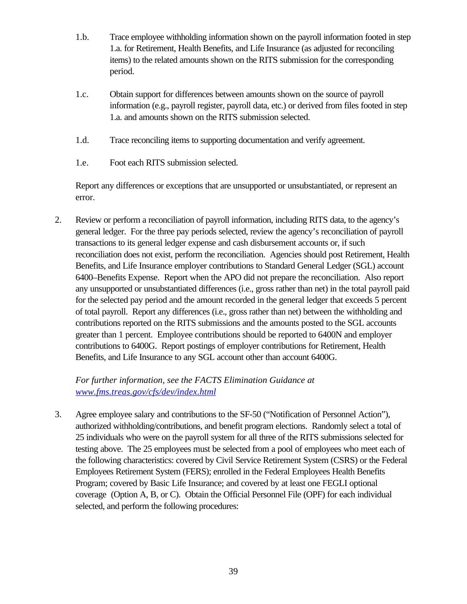- 1.b. Trace employee withholding information shown on the payroll information footed in step 1.a. for Retirement, Health Benefits, and Life Insurance (as adjusted for reconciling items) to the related amounts shown on the RITS submission for the corresponding period.
- 1.c. Obtain support for differences between amounts shown on the source of payroll information (e.g., payroll register, payroll data, etc.) or derived from files footed in step 1.a. and amounts shown on the RITS submission selected.
- 1.d. Trace reconciling items to supporting documentation and verify agreement.
- 1.e. Foot each RITS submission selected.

Report any differences or exceptions that are unsupported or unsubstantiated, or represent an error.

2. Review or perform a reconciliation of payroll information, including RITS data, to the agency's general ledger. For the three pay periods selected, review the agency's reconciliation of payroll transactions to its general ledger expense and cash disbursement accounts or, if such reconciliation does not exist, perform the reconciliation. Agencies should post Retirement, Health Benefits, and Life Insurance employer contributions to Standard General Ledger (SGL) account 6400–Benefits Expense. Report when the APO did not prepare the reconciliation. Also report any unsupported or unsubstantiated differences (i.e., gross rather than net) in the total payroll paid for the selected pay period and the amount recorded in the general ledger that exceeds 5 percent of total payroll. Report any differences (i.e., gross rather than net) between the withholding and contributions reported on the RITS submissions and the amounts posted to the SGL accounts greater than 1 percent. Employee contributions should be reported to 6400N and employer contributions to 6400G. Report postings of employer contributions for Retirement, Health Benefits, and Life Insurance to any SGL account other than account 6400G.

# *For further information, see the FACTS Elimination Guidance at www.fms.treas.gov/cfs/dev/index.html*

3. Agree employee salary and contributions to the SF-50 ("Notification of Personnel Action"), authorized withholding/contributions, and benefit program elections. Randomly select a total of 25 individuals who were on the payroll system for all three of the RITS submissions selected for testing above. The 25 employees must be selected from a pool of employees who meet each of the following characteristics: covered by Civil Service Retirement System (CSRS) or the Federal Employees Retirement System (FERS); enrolled in the Federal Employees Health Benefits Program; covered by Basic Life Insurance; and covered by at least one FEGLI optional coverage (Option A, B, or C). Obtain the Official Personnel File (OPF) for each individual selected, and perform the following procedures: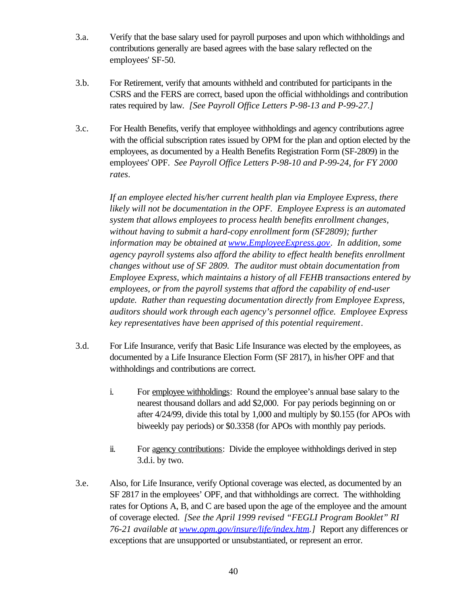- 3.a. Verify that the base salary used for payroll purposes and upon which withholdings and contributions generally are based agrees with the base salary reflected on the employees' SF-50.
- 3.b. For Retirement, verify that amounts withheld and contributed for participants in the CSRS and the FERS are correct, based upon the official withholdings and contribution rates required by law*. [See Payroll Office Letters P-98-13 and P-99-27.]*
- 3.c. For Health Benefits, verify that employee withholdings and agency contributions agree with the official subscription rates issued by OPM for the plan and option elected by the employees, as documented by a Health Benefits Registration Form (SF-2809) in the employees' OPF. *See Payroll Office Letters P-98-10 and P-99-24, for FY 2000 rates*.

*If an employee elected his/her current health plan via Employee Express, there likely will not be documentation in the OPF. Employee Express is an automated system that allows employees to process health benefits enrollment changes, without having to submit a hard-copy enrollment form (SF2809); further information may be obtained at www.EmployeeExpress.gov. In addition, some agency payroll systems also afford the ability to effect health benefits enrollment changes without use of SF 2809. The auditor must obtain documentation from Employee Express, which maintains a history of all FEHB transactions entered by employees, or from the payroll systems that afford the capability of end-user update. Rather than requesting documentation directly from Employee Express, auditors should work through each agency's personnel office. Employee Express key representatives have been apprised of this potential requirement*.

- 3.d. For Life Insurance, verify that Basic Life Insurance was elected by the employees, as documented by a Life Insurance Election Form (SF 2817), in his/her OPF and that withholdings and contributions are correct.
	- i. For employee withholdings: Round the employee's annual base salary to the nearest thousand dollars and add \$2,000. For pay periods beginning on or after 4/24/99, divide this total by 1,000 and multiply by \$0.155 (for APOs with biweekly pay periods) or \$0.3358 (for APOs with monthly pay periods.
	- ii. For agency contributions: Divide the employee withholdings derived in step 3.d.i. by two.
- 3.e. Also, for Life Insurance, verify Optional coverage was elected, as documented by an SF 2817 in the employees' OPF, and that withholdings are correct. The withholding rates for Options A, B, and C are based upon the age of the employee and the amount of coverage elected. *[See the April 1999 revised "FEGLI Program Booklet" RI 76-21 available at www.opm.gov/insure/life/index.htm.]* Report any differences or exceptions that are unsupported or unsubstantiated, or represent an error.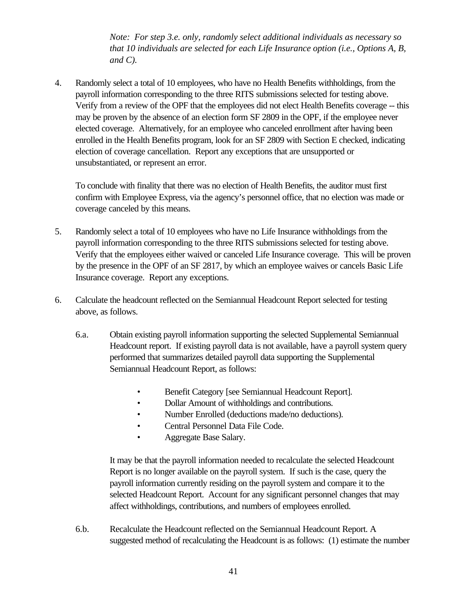*Note: For step 3.e. only, randomly select additional individuals as necessary so that 10 individuals are selected for each Life Insurance option (i.e., Options A, B, and C).*

4. Randomly select a total of 10 employees, who have no Health Benefits withholdings, from the payroll information corresponding to the three RITS submissions selected for testing above. Verify from a review of the OPF that the employees did not elect Health Benefits coverage -- this may be proven by the absence of an election form SF 2809 in the OPF, if the employee never elected coverage. Alternatively, for an employee who canceled enrollment after having been enrolled in the Health Benefits program, look for an SF 2809 with Section E checked, indicating election of coverage cancellation. Report any exceptions that are unsupported or unsubstantiated, or represent an error.

To conclude with finality that there was no election of Health Benefits, the auditor must first confirm with Employee Express, via the agency's personnel office, that no election was made or coverage canceled by this means.

- 5. Randomly select a total of 10 employees who have no Life Insurance withholdings from the payroll information corresponding to the three RITS submissions selected for testing above. Verify that the employees either waived or canceled Life Insurance coverage. This will be proven by the presence in the OPF of an SF 2817, by which an employee waives or cancels Basic Life Insurance coverage. Report any exceptions.
- 6. Calculate the headcount reflected on the Semiannual Headcount Report selected for testing above, as follows.
	- 6.a. Obtain existing payroll information supporting the selected Supplemental Semiannual Headcount report. If existing payroll data is not available, have a payroll system query performed that summarizes detailed payroll data supporting the Supplemental Semiannual Headcount Report, as follows:
		- Benefit Category [see Semiannual Headcount Report].
		- Dollar Amount of withholdings and contributions.
		- Number Enrolled (deductions made/no deductions).
		- Central Personnel Data File Code.
		- Aggregate Base Salary.

It may be that the payroll information needed to recalculate the selected Headcount Report is no longer available on the payroll system. If such is the case, query the payroll information currently residing on the payroll system and compare it to the selected Headcount Report. Account for any significant personnel changes that may affect withholdings, contributions, and numbers of employees enrolled.

6.b. Recalculate the Headcount reflected on the Semiannual Headcount Report. A suggested method of recalculating the Headcount is as follows: (1) estimate the number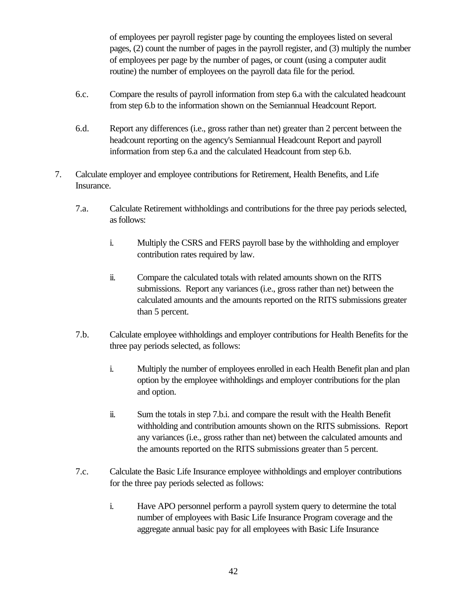of employees per payroll register page by counting the employees listed on several pages, (2) count the number of pages in the payroll register, and (3) multiply the number of employees per page by the number of pages, or count (using a computer audit routine) the number of employees on the payroll data file for the period.

- 6.c. Compare the results of payroll information from step 6.a with the calculated headcount from step 6.b to the information shown on the Semiannual Headcount Report.
- 6.d. Report any differences (i.e., gross rather than net) greater than 2 percent between the headcount reporting on the agency's Semiannual Headcount Report and payroll information from step 6.a and the calculated Headcount from step 6.b.
- 7. Calculate employer and employee contributions for Retirement, Health Benefits, and Life Insurance.
	- 7.a. Calculate Retirement withholdings and contributions for the three pay periods selected, as follows:
		- i. Multiply the CSRS and FERS payroll base by the withholding and employer contribution rates required by law.
		- ii. Compare the calculated totals with related amounts shown on the RITS submissions. Report any variances (i.e., gross rather than net) between the calculated amounts and the amounts reported on the RITS submissions greater than 5 percent.
	- 7.b. Calculate employee withholdings and employer contributions for Health Benefits for the three pay periods selected, as follows:
		- i. Multiply the number of employees enrolled in each Health Benefit plan and plan option by the employee withholdings and employer contributions for the plan and option.
		- ii. Sum the totals in step 7.b.i. and compare the result with the Health Benefit withholding and contribution amounts shown on the RITS submissions. Report any variances (i.e., gross rather than net) between the calculated amounts and the amounts reported on the RITS submissions greater than 5 percent.
	- 7.c. Calculate the Basic Life Insurance employee withholdings and employer contributions for the three pay periods selected as follows:
		- i. Have APO personnel perform a payroll system query to determine the total number of employees with Basic Life Insurance Program coverage and the aggregate annual basic pay for all employees with Basic Life Insurance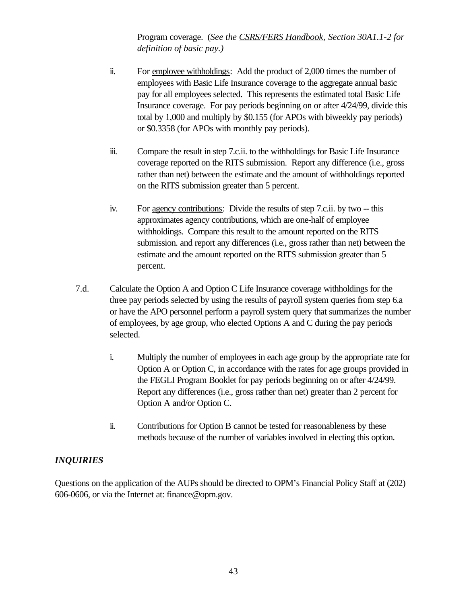Program coverage. (*See the CSRS/FERS Handbook, Section 30A1.1-2 for definition of basic pay.)*

- ii. For employee withholdings: Add the product of 2,000 times the number of employees with Basic Life Insurance coverage to the aggregate annual basic pay for all employees selected. This represents the estimated total Basic Life Insurance coverage. For pay periods beginning on or after 4/24/99, divide this total by 1,000 and multiply by \$0.155 (for APOs with biweekly pay periods) or \$0.3358 (for APOs with monthly pay periods).
- iii. Compare the result in step 7.c.ii. to the withholdings for Basic Life Insurance coverage reported on the RITS submission. Report any difference (i.e., gross rather than net) between the estimate and the amount of withholdings reported on the RITS submission greater than 5 percent.
- iv. For agency contributions: Divide the results of step 7.c.ii. by two -- this approximates agency contributions, which are one-half of employee withholdings. Compare this result to the amount reported on the RITS submission. and report any differences (i.e., gross rather than net) between the estimate and the amount reported on the RITS submission greater than 5 percent.
- 7.d. Calculate the Option A and Option C Life Insurance coverage withholdings for the three pay periods selected by using the results of payroll system queries from step 6.a or have the APO personnel perform a payroll system query that summarizes the number of employees, by age group, who elected Options A and C during the pay periods selected.
	- i. Multiply the number of employees in each age group by the appropriate rate for Option A or Option C, in accordance with the rates for age groups provided in the FEGLI Program Booklet for pay periods beginning on or after 4/24/99. Report any differences (i.e., gross rather than net) greater than 2 percent for Option A and/or Option C.
	- ii. Contributions for Option B cannot be tested for reasonableness by these methods because of the number of variables involved in electing this option.

## *INQUIRIES*

Questions on the application of the AUPs should be directed to OPM's Financial Policy Staff at (202) 606-0606, or via the Internet at: finance@opm.gov.